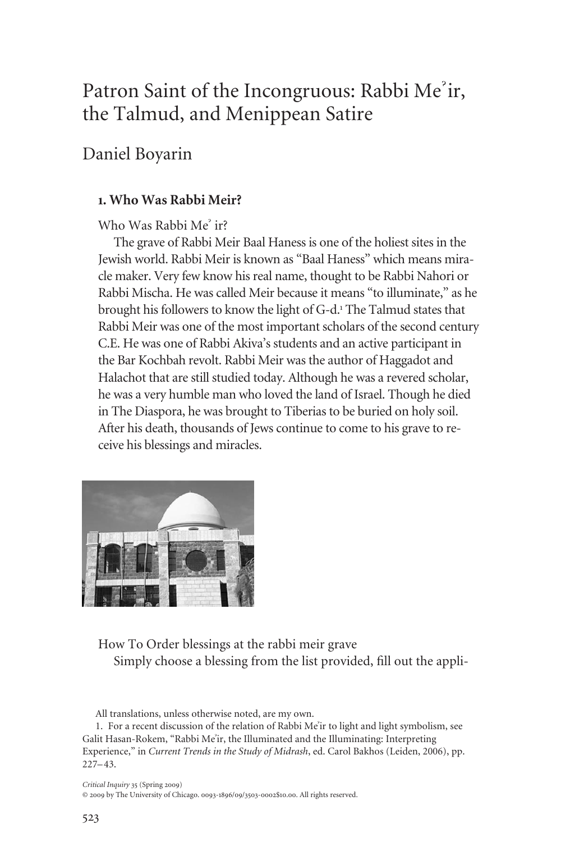# Patron Saint of the Incongruous: Rabbi Me<sup>2</sup>ir, the Talmud, and Menippean Satire

## Daniel Boyarin

## **1. Who Was Rabbi Meir?**

Who Was Rabbi Me' ir?

The grave of Rabbi Meir Baal Haness is one of the holiest sites in the Jewish world. Rabbi Meir is known as "Baal Haness" which means miracle maker. Very few know his real name, thought to be Rabbi Nahori or Rabbi Mischa. He was called Meir because it means "to illuminate," as he brought his followers to know the light of G-d.<sup>1</sup> The Talmud states that Rabbi Meir was one of the most important scholars of the second century C.E. He was one of Rabbi Akiva's students and an active participant in the Bar Kochbah revolt. Rabbi Meir was the author of Haggadot and Halachot that are still studied today. Although he was a revered scholar, he was a very humble man who loved the land of Israel. Though he died in The Diaspora, he was brought to Tiberias to be buried on holy soil. After his death, thousands of Jews continue to come to his grave to receive his blessings and miracles.



## How To Order blessings at the rabbi meir grave Simply choose a blessing from the list provided, fill out the appli-

All translations, unless otherwise noted, are my own.

1. For a recent discussion of the relation of Rabbi Me'ir to light and light symbolism, see Galit Hasan-Rokem, "Rabbi Me'ir, the Illuminated and the Illuminating: Interpreting Experience," in *Current Trends in the Study of Midrash*, ed. Carol Bakhos (Leiden, 2006), pp.  $227 - 43.$ 

*Critical Inquiry* 35 (Spring 2009) © 2009 by The University of Chicago. 0093-1896/09/3503-0002\$10.00. All rights reserved.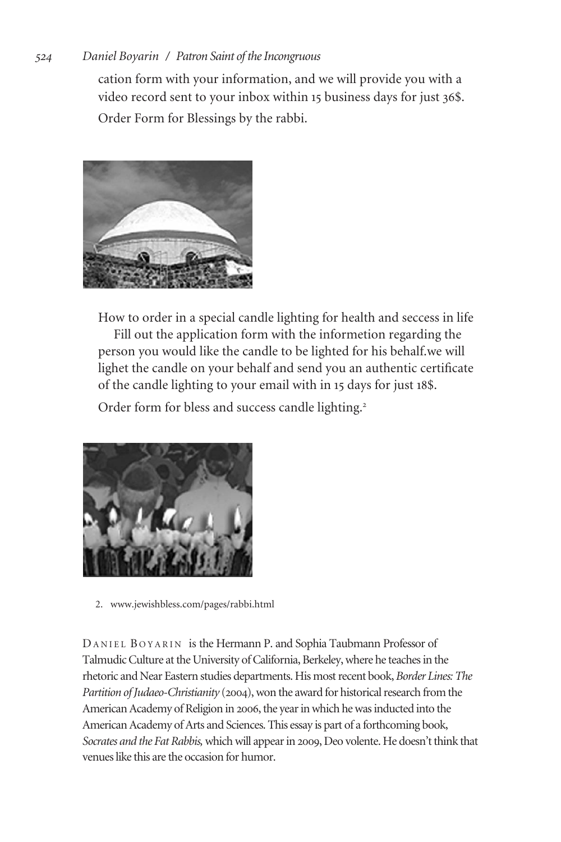cation form with your information, and we will provide you with a video record sent to your inbox within 15 business days for just 36\$. Order Form for Blessings by the rabbi.



How to order in a special candle lighting for health and seccess in life Fill out the application form with the informetion regarding the person you would like the candle to be lighted for his behalf.we will lighet the candle on your behalf and send you an authentic certificate of the candle lighting to your email with in 15 days for just 18\$.

Order form for bless and success candle lighting.<sup>2</sup>



2. www.jewishbless.com/pages/rabbi.html

DANIEL B OYARIN is the Hermann P. and Sophia Taubmann Professor of Talmudic Culture at the University of California, Berkeley, where he teaches in the rhetoric and Near Eastern studies departments. His most recent book, *Border Lines: The Partition of Judaeo-Christianity* (2004), won the award for historical research from the American Academy of Religion in 2006, the year in which he was inducted into the American Academy of Arts and Sciences. This essay is part of a forthcoming book, *Socrates and the Fat Rabbis,*which will appear in 2009, Deo volente. He doesn't think that venues like this are the occasion for humor.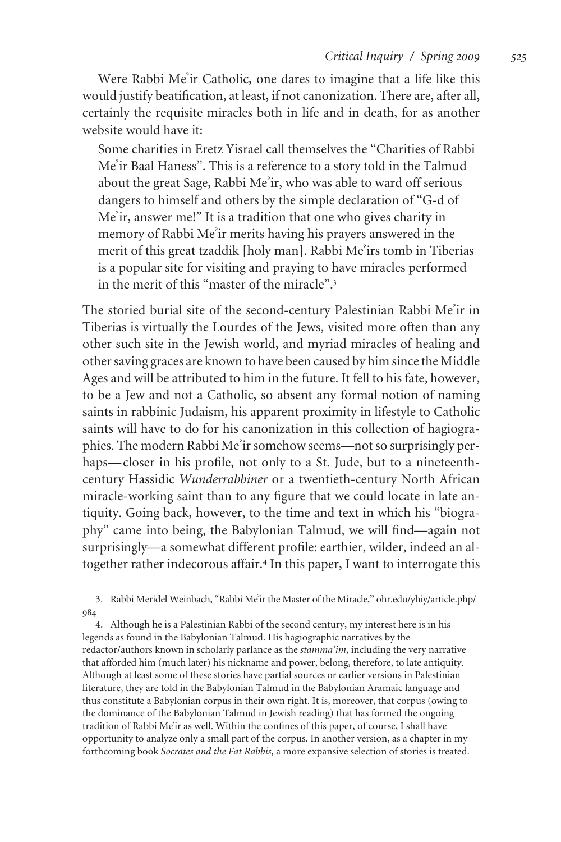Were Rabbi Me<sup>2</sup>ir Catholic, one dares to imagine that a life like this would justify beatification, at least, if not canonization. There are, after all, certainly the requisite miracles both in life and in death, for as another website would have it:

Some charities in Eretz Yisrael call themselves the "Charities of Rabbi Me'ir Baal Haness". This is a reference to a story told in the Talmud about the great Sage, Rabbi Me'ir, who was able to ward off serious dangers to himself and others by the simple declaration of "G-d of Me<sup>2</sup>ir, answer me!" It is a tradition that one who gives charity in memory of Rabbi Me<sup>2</sup>ir merits having his prayers answered in the merit of this great tzaddik [holy man]. Rabbi Me'irs tomb in Tiberias is a popular site for visiting and praying to have miracles performed in the merit of this "master of the miracle" 3

The storied burial site of the second-century Palestinian Rabbi Me'ir in Tiberias is virtually the Lourdes of the Jews, visited more often than any other such site in the Jewish world, and myriad miracles of healing and other saving graces are known to have been caused by him since the Middle Ages and will be attributed to him in the future. It fell to his fate, however, to be a Jew and not a Catholic, so absent any formal notion of naming saints in rabbinic Judaism, his apparent proximity in lifestyle to Catholic saints will have to do for his canonization in this collection of hagiographies. The modern Rabbi Me<sup>2</sup>ir somehow seems—not so surprisingly perhaps— closer in his profile, not only to a St. Jude, but to a nineteenthcentury Hassidic *Wunderrabbiner* or a twentieth-century North African miracle-working saint than to any figure that we could locate in late antiquity. Going back, however, to the time and text in which his "biography" came into being, the Babylonian Talmud, we will find—again not surprisingly—a somewhat different profile: earthier, wilder, indeed an altogether rather indecorous affair.<sup>4</sup> In this paper, I want to interrogate this

3. Rabbi Meridel Weinbach, "Rabbi Meir the Master of the Miracle," ohr.edu/yhiy/article.php/ 984

4. Although he is a Palestinian Rabbi of the second century, my interest here is in his legends as found in the Babylonian Talmud. His hagiographic narratives by the redactor/authors known in scholarly parlance as the *stamma'im*, including the very narrative that afforded him (much later) his nickname and power, belong, therefore, to late antiquity. Although at least some of these stories have partial sources or earlier versions in Palestinian literature, they are told in the Babylonian Talmud in the Babylonian Aramaic language and thus constitute a Babylonian corpus in their own right. It is, moreover, that corpus (owing to the dominance of the Babylonian Talmud in Jewish reading) that has formed the ongoing tradition of Rabbi Me'ir as well. Within the confines of this paper, of course, I shall have opportunity to analyze only a small part of the corpus. In another version, as a chapter in my forthcoming book *Socrates and the Fat Rabbis*, a more expansive selection of stories is treated.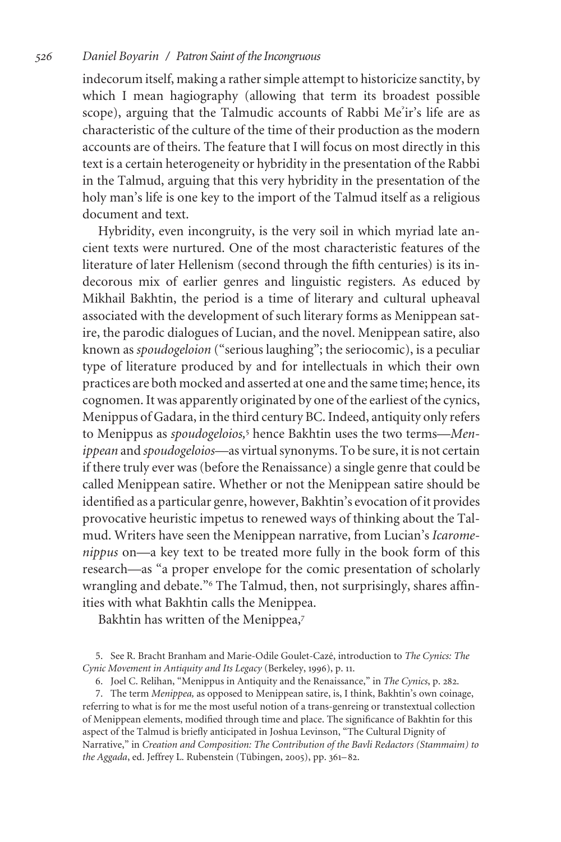indecorum itself, making a rather simple attempt to historicize sanctity, by which I mean hagiography (allowing that term its broadest possible scope), arguing that the Talmudic accounts of Rabbi Me'ir's life are as characteristic of the culture of the time of their production as the modern accounts are of theirs. The feature that I will focus on most directly in this text is a certain heterogeneity or hybridity in the presentation of the Rabbi in the Talmud, arguing that this very hybridity in the presentation of the holy man's life is one key to the import of the Talmud itself as a religious document and text.

Hybridity, even incongruity, is the very soil in which myriad late ancient texts were nurtured. One of the most characteristic features of the literature of later Hellenism (second through the fifth centuries) is its indecorous mix of earlier genres and linguistic registers. As educed by Mikhail Bakhtin, the period is a time of literary and cultural upheaval associated with the development of such literary forms as Menippean satire, the parodic dialogues of Lucian, and the novel. Menippean satire, also known as *spoudogeloion* ("serious laughing"; the seriocomic), is a peculiar type of literature produced by and for intellectuals in which their own practices are both mocked and asserted at one and the same time; hence, its cognomen. It was apparently originated by one of the earliest of the cynics, Menippus of Gadara, in the third century BC. Indeed, antiquity only refers to Menippus as *spoudogeloios,*<sup>5</sup> hence Bakhtin uses the two terms—*Menippean* and *spoudogeloios—*as virtual synonyms. To be sure, it is not certain if there truly ever was (before the Renaissance) a single genre that could be called Menippean satire. Whether or not the Menippean satire should be identified as a particular genre, however, Bakhtin's evocation of it provides provocative heuristic impetus to renewed ways of thinking about the Talmud. Writers have seen the Menippean narrative, from Lucian's *Icaromenippus* on—a key text to be treated more fully in the book form of this research—as "a proper envelope for the comic presentation of scholarly wrangling and debate."<sup>6</sup> The Talmud, then, not surprisingly, shares affinities with what Bakhtin calls the Menippea.

Bakhtin has written of the Menippea,<sup>7</sup>

5. See R. Bracht Branham and Marie-Odile Goulet-Caze´, introduction to *The Cynics: The Cynic Movement in Antiquity and Its Legacy* (Berkeley, 1996), p. 11.

6. Joel C. Relihan, "Menippus in Antiquity and the Renaissance," in *The Cynics*, p. 282.

7. The term *Menippea,* as opposed to Menippean satire, is, I think, Bakhtin's own coinage, referring to what is for me the most useful notion of a trans-genreing or transtextual collection of Menippean elements, modified through time and place. The significance of Bakhtin for this aspect of the Talmud is briefly anticipated in Joshua Levinson, "The Cultural Dignity of Narrative," in *Creation and Composition: The Contribution of the Bavli Redactors (Stammaim) to the Aggada*, ed. Jeffrey L. Rubenstein (Tübingen, 2005), pp. 361–82.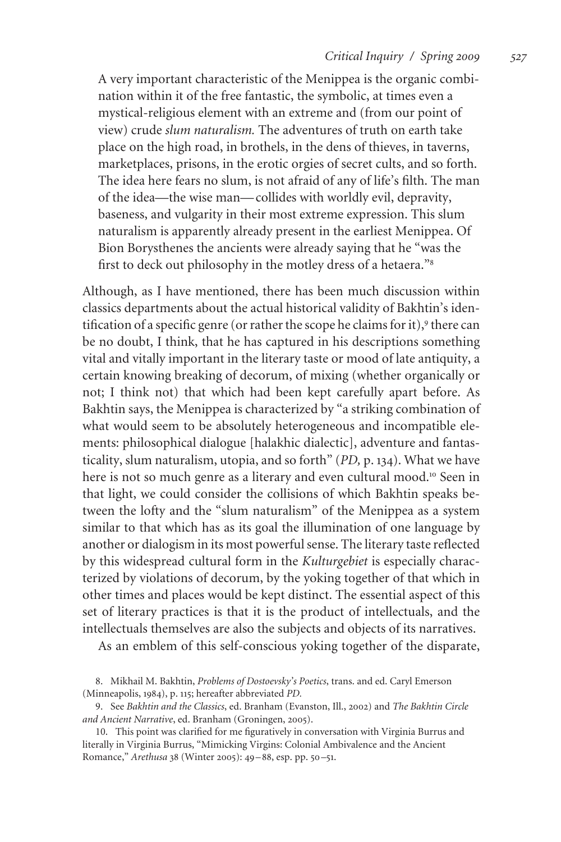A very important characteristic of the Menippea is the organic combination within it of the free fantastic, the symbolic, at times even a mystical-religious element with an extreme and (from our point of view) crude *slum naturalism.* The adventures of truth on earth take place on the high road, in brothels, in the dens of thieves, in taverns, marketplaces, prisons, in the erotic orgies of secret cults, and so forth. The idea here fears no slum, is not afraid of any of life's filth. The man of the idea—the wise man— collides with worldly evil, depravity, baseness, and vulgarity in their most extreme expression. This slum naturalism is apparently already present in the earliest Menippea. Of Bion Borysthenes the ancients were already saying that he "was the first to deck out philosophy in the motley dress of a hetaera."<sup>8</sup>

Although, as I have mentioned, there has been much discussion within classics departments about the actual historical validity of Bakhtin's identification of a specific genre (or rather the scope he claims for it),<sup>9</sup> there can be no doubt, I think, that he has captured in his descriptions something vital and vitally important in the literary taste or mood of late antiquity, a certain knowing breaking of decorum, of mixing (whether organically or not; I think not) that which had been kept carefully apart before. As Bakhtin says, the Menippea is characterized by "a striking combination of what would seem to be absolutely heterogeneous and incompatible elements: philosophical dialogue [halakhic dialectic], adventure and fantasticality, slum naturalism, utopia, and so forth" (*PD,* p. 134). What we have here is not so much genre as a literary and even cultural mood.<sup>10</sup> Seen in that light, we could consider the collisions of which Bakhtin speaks between the lofty and the "slum naturalism" of the Menippea as a system similar to that which has as its goal the illumination of one language by another or dialogism in its most powerful sense. The literary taste reflected by this widespread cultural form in the *Kulturgebiet* is especially characterized by violations of decorum, by the yoking together of that which in other times and places would be kept distinct. The essential aspect of this set of literary practices is that it is the product of intellectuals, and the intellectuals themselves are also the subjects and objects of its narratives.

As an emblem of this self-conscious yoking together of the disparate,

9. See *Bakhtin and the Classics*, ed. Branham (Evanston, Ill., 2002) and *The Bakhtin Circle and Ancient Narrative*, ed. Branham (Groningen, 2005).

10. This point was clarified for me figuratively in conversation with Virginia Burrus and literally in Virginia Burrus, "Mimicking Virgins: Colonial Ambivalence and the Ancient Romance," *Arethusa* 38 (Winter 2005): 49–88, esp. pp. 50–51.

<sup>8.</sup> Mikhail M. Bakhtin, *Problems of Dostoevsky's Poetics*, trans. and ed. Caryl Emerson (Minneapolis, 1984), p. 115; hereafter abbreviated *PD.*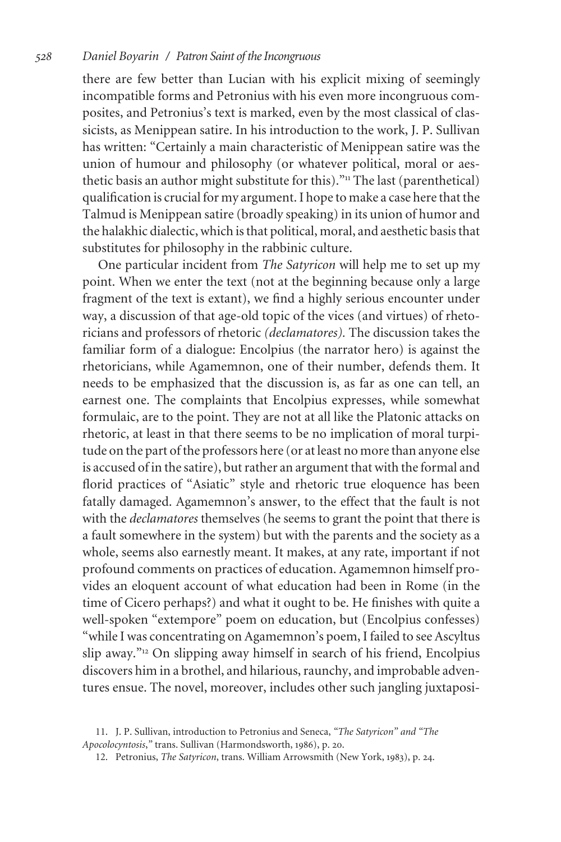there are few better than Lucian with his explicit mixing of seemingly incompatible forms and Petronius with his even more incongruous composites, and Petronius's text is marked, even by the most classical of classicists, as Menippean satire. In his introduction to the work, J. P. Sullivan has written: "Certainly a main characteristic of Menippean satire was the union of humour and philosophy (or whatever political, moral or aesthetic basis an author might substitute for this)."<sup>11</sup> The last (parenthetical) qualification is crucial for my argument. I hope to make a case here that the Talmud is Menippean satire (broadly speaking) in its union of humor and the halakhic dialectic, which is that political, moral, and aesthetic basis that substitutes for philosophy in the rabbinic culture.

One particular incident from *The Satyricon* will help me to set up my point. When we enter the text (not at the beginning because only a large fragment of the text is extant), we find a highly serious encounter under way, a discussion of that age-old topic of the vices (and virtues) of rhetoricians and professors of rhetoric *(declamatores).* The discussion takes the familiar form of a dialogue: Encolpius (the narrator hero) is against the rhetoricians, while Agamemnon, one of their number, defends them. It needs to be emphasized that the discussion is, as far as one can tell, an earnest one. The complaints that Encolpius expresses, while somewhat formulaic, are to the point. They are not at all like the Platonic attacks on rhetoric, at least in that there seems to be no implication of moral turpitude on the part of the professors here (or at least no more than anyone else is accused of in the satire), but rather an argument that with the formal and florid practices of "Asiatic" style and rhetoric true eloquence has been fatally damaged. Agamemnon's answer, to the effect that the fault is not with the *declamatores* themselves (he seems to grant the point that there is a fault somewhere in the system) but with the parents and the society as a whole, seems also earnestly meant. It makes, at any rate, important if not profound comments on practices of education. Agamemnon himself provides an eloquent account of what education had been in Rome (in the time of Cicero perhaps?) and what it ought to be. He finishes with quite a well-spoken "extempore" poem on education, but (Encolpius confesses) "while I was concentrating on Agamemnon's poem, I failed to see Ascyltus slip away."<sup>12</sup> On slipping away himself in search of his friend, Encolpius discovers him in a brothel, and hilarious, raunchy, and improbable adventures ensue. The novel, moreover, includes other such jangling juxtaposi-

<sup>11.</sup> J. P. Sullivan, introduction to Petronius and Seneca, *"The Satyricon" and "The Apocolocyntosis*,*"* trans. Sullivan (Harmondsworth, 1986), p. 20.

<sup>12.</sup> Petronius, *The Satyricon*, trans. William Arrowsmith (New York, 1983), p. 24.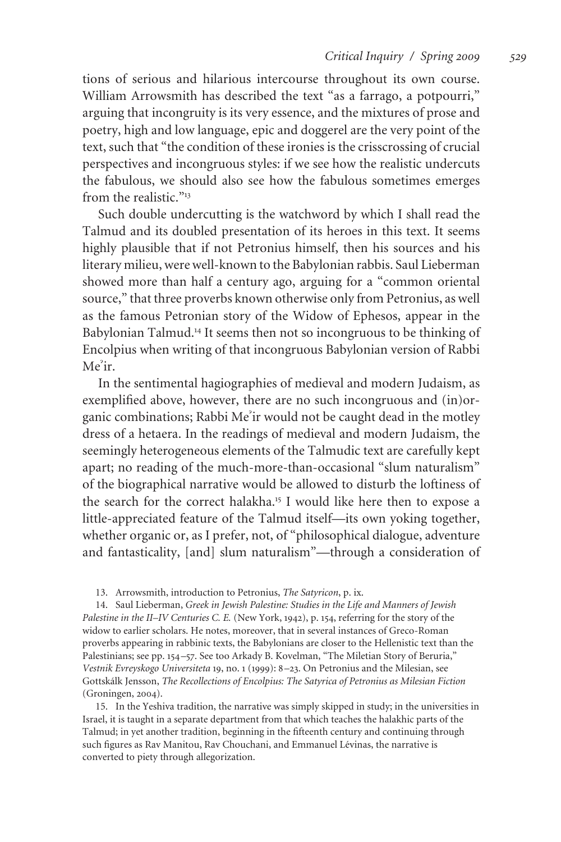tions of serious and hilarious intercourse throughout its own course. William Arrowsmith has described the text "as a farrago, a potpourri," arguing that incongruity is its very essence, and the mixtures of prose and poetry, high and low language, epic and doggerel are the very point of the text, such that "the condition of these ironies is the crisscrossing of crucial perspectives and incongruous styles: if we see how the realistic undercuts the fabulous, we should also see how the fabulous sometimes emerges from the realistic."<sup>13</sup>

Such double undercutting is the watchword by which I shall read the Talmud and its doubled presentation of its heroes in this text. It seems highly plausible that if not Petronius himself, then his sources and his literary milieu, were well-known to the Babylonian rabbis. Saul Lieberman showed more than half a century ago, arguing for a "common oriental source," that three proverbs known otherwise only from Petronius, as well as the famous Petronian story of the Widow of Ephesos, appear in the Babylonian Talmud.<sup>14</sup> It seems then not so incongruous to be thinking of Encolpius when writing of that incongruous Babylonian version of Rabbi  $Me<sup>3</sup>$ ir.

In the sentimental hagiographies of medieval and modern Judaism, as exemplified above, however, there are no such incongruous and (in)organic combinations; Rabbi Me'ir would not be caught dead in the motley dress of a hetaera. In the readings of medieval and modern Judaism, the seemingly heterogeneous elements of the Talmudic text are carefully kept apart; no reading of the much-more-than-occasional "slum naturalism" of the biographical narrative would be allowed to disturb the loftiness of the search for the correct halakha.<sup>15</sup> I would like here then to expose a little-appreciated feature of the Talmud itself—its own yoking together, whether organic or, as I prefer, not, of "philosophical dialogue, adventure and fantasticality, [and] slum naturalism"—through a consideration of

13. Arrowsmith, introduction to Petronius, *The Satyricon*, p. ix.

14. Saul Lieberman, *Greek in Jewish Palestine: Studies in the Life and Manners of Jewish Palestine in the II–IV Centuries C. E.* (New York, 1942), p. 154, referring for the story of the widow to earlier scholars. He notes, moreover, that in several instances of Greco-Roman proverbs appearing in rabbinic texts, the Babylonians are closer to the Hellenistic text than the Palestinians; see pp. 154–57. See too Arkady B. Kovelman, "The Miletian Story of Beruria," *Vestnik Evreyskogo Universiteta* 19, no. 1 (1999): 8–23. On Petronius and the Milesian, see Gottska´lk Jensson, *The Recollections of Encolpius: The Satyrica of Petronius as Milesian Fiction* (Groningen, 2004).

15. In the Yeshiva tradition, the narrative was simply skipped in study; in the universities in Israel, it is taught in a separate department from that which teaches the halakhic parts of the Talmud; in yet another tradition, beginning in the fifteenth century and continuing through such figures as Rav Manitou, Rav Chouchani, and Emmanuel Lévinas, the narrative is converted to piety through allegorization.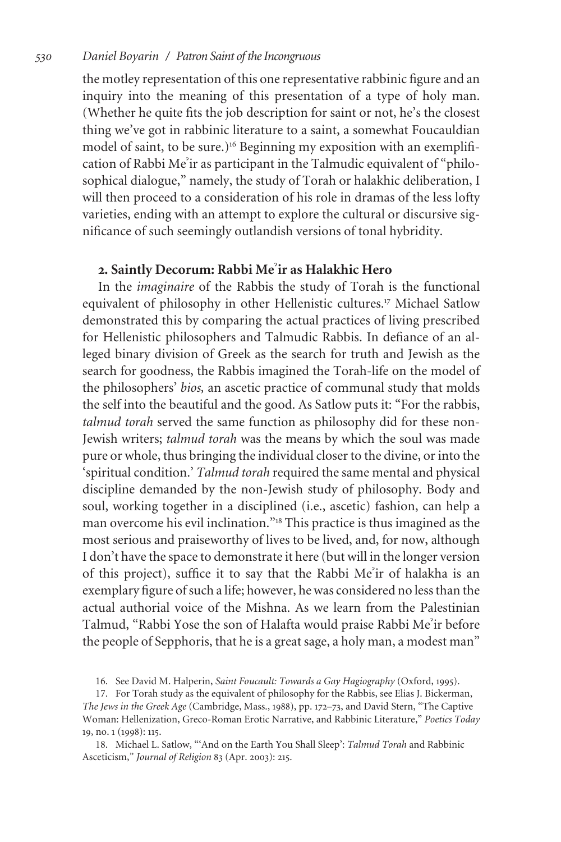the motley representation of this one representative rabbinic figure and an inquiry into the meaning of this presentation of a type of holy man. (Whether he quite fits the job description for saint or not, he's the closest thing we've got in rabbinic literature to a saint, a somewhat Foucauldian model of saint, to be sure.)<sup>16</sup> Beginning my exposition with an exemplification of Rabbi Me'ir as participant in the Talmudic equivalent of "philosophical dialogue," namely, the study of Torah or halakhic deliberation, I will then proceed to a consideration of his role in dramas of the less lofty varieties, ending with an attempt to explore the cultural or discursive significance of such seemingly outlandish versions of tonal hybridity.

## **2. Saintly Decorum: Rabbi Meir as Halakhic Hero**

In the *imaginaire* of the Rabbis the study of Torah is the functional equivalent of philosophy in other Hellenistic cultures.<sup>17</sup> Michael Satlow demonstrated this by comparing the actual practices of living prescribed for Hellenistic philosophers and Talmudic Rabbis. In defiance of an alleged binary division of Greek as the search for truth and Jewish as the search for goodness, the Rabbis imagined the Torah-life on the model of the philosophers' *bios,* an ascetic practice of communal study that molds the self into the beautiful and the good. As Satlow puts it: "For the rabbis, *talmud torah* served the same function as philosophy did for these non-Jewish writers; *talmud torah* was the means by which the soul was made pure or whole, thus bringing the individual closer to the divine, or into the 'spiritual condition.' *Talmud torah* required the same mental and physical discipline demanded by the non-Jewish study of philosophy. Body and soul, working together in a disciplined (i.e., ascetic) fashion, can help a man overcome his evil inclination."<sup>18</sup> This practice is thus imagined as the most serious and praiseworthy of lives to be lived, and, for now, although I don't have the space to demonstrate it here (but will in the longer version of this project), suffice it to say that the Rabbi Me'ir of halakha is an exemplary figure of such a life; however, he was considered no less than the actual authorial voice of the Mishna. As we learn from the Palestinian Talmud, "Rabbi Yose the son of Halafta would praise Rabbi Me'ir before the people of Sepphoris, that he is a great sage, a holy man, a modest man"

<sup>16.</sup> See David M. Halperin, *Saint Foucault: Towards a Gay Hagiography* (Oxford, 1995).

<sup>17.</sup> For Torah study as the equivalent of philosophy for the Rabbis, see Elias J. Bickerman, *The Jews in the Greek Age* (Cambridge, Mass., 1988), pp. 172–73, and David Stern, "The Captive Woman: Hellenization, Greco-Roman Erotic Narrative, and Rabbinic Literature," *Poetics Today* 19, no. 1 (1998): 115.

<sup>18.</sup> Michael L. Satlow, "'And on the Earth You Shall Sleep': *Talmud Torah* and Rabbinic Asceticism," *Journal of Religion* 83 (Apr. 2003): 215.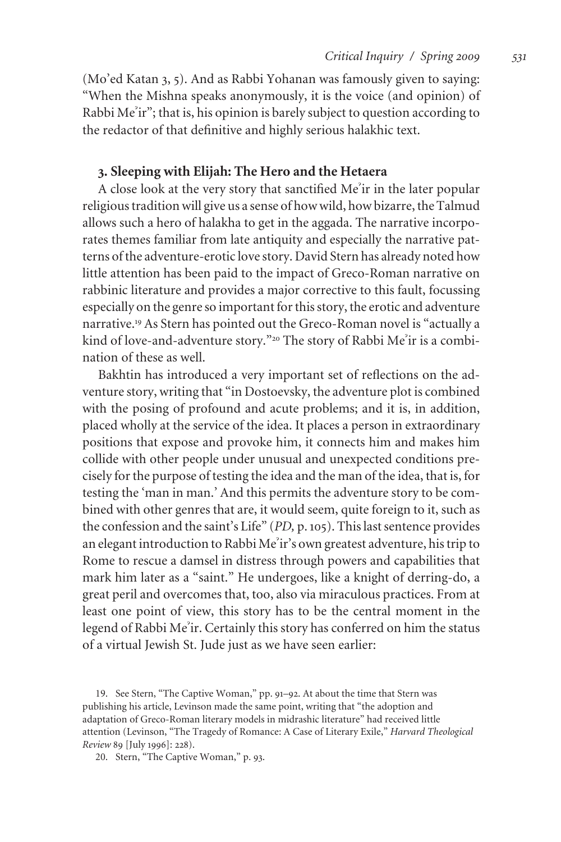(Mo'ed Katan 3, 5). And as Rabbi Yohanan was famously given to saying: "When the Mishna speaks anonymously, it is the voice (and opinion) of Rabbi Me'ir"; that is, his opinion is barely subject to question according to the redactor of that definitive and highly serious halakhic text.

## **3. Sleeping with Elijah: The Hero and the Hetaera**

A close look at the very story that sanctified Me'ir in the later popular religious tradition will give us a sense of how wild, how bizarre, the Talmud allows such a hero of halakha to get in the aggada. The narrative incorporates themes familiar from late antiquity and especially the narrative patterns of the adventure-erotic love story. David Stern has already noted how little attention has been paid to the impact of Greco-Roman narrative on rabbinic literature and provides a major corrective to this fault, focussing especially on the genre so important for this story, the erotic and adventure narrative.<sup>19</sup> As Stern has pointed out the Greco-Roman novel is "actually a kind of love-and-adventure story."<sup>20</sup> The story of Rabbi Me<sup>2</sup>ir is a combination of these as well.

Bakhtin has introduced a very important set of reflections on the adventure story, writing that "in Dostoevsky, the adventure plot is combined with the posing of profound and acute problems; and it is, in addition, placed wholly at the service of the idea. It places a person in extraordinary positions that expose and provoke him, it connects him and makes him collide with other people under unusual and unexpected conditions precisely for the purpose of testing the idea and the man of the idea, that is, for testing the 'man in man.' And this permits the adventure story to be combined with other genres that are, it would seem, quite foreign to it, such as the confession and the saint's Life" (*PD,* p.105). This last sentence provides an elegant introduction to Rabbi Me'ir's own greatest adventure, his trip to Rome to rescue a damsel in distress through powers and capabilities that mark him later as a "saint." He undergoes, like a knight of derring-do, a great peril and overcomes that, too, also via miraculous practices. From at least one point of view, this story has to be the central moment in the legend of Rabbi Me<sup>2</sup>ir. Certainly this story has conferred on him the status of a virtual Jewish St. Jude just as we have seen earlier:

19. See Stern, "The Captive Woman," pp. 91–92. At about the time that Stern was publishing his article, Levinson made the same point, writing that "the adoption and adaptation of Greco-Roman literary models in midrashic literature" had received little attention (Levinson, "The Tragedy of Romance: A Case of Literary Exile," *Harvard Theological Review* 89 [July 1996]: 228).

20. Stern, "The Captive Woman," p. 93.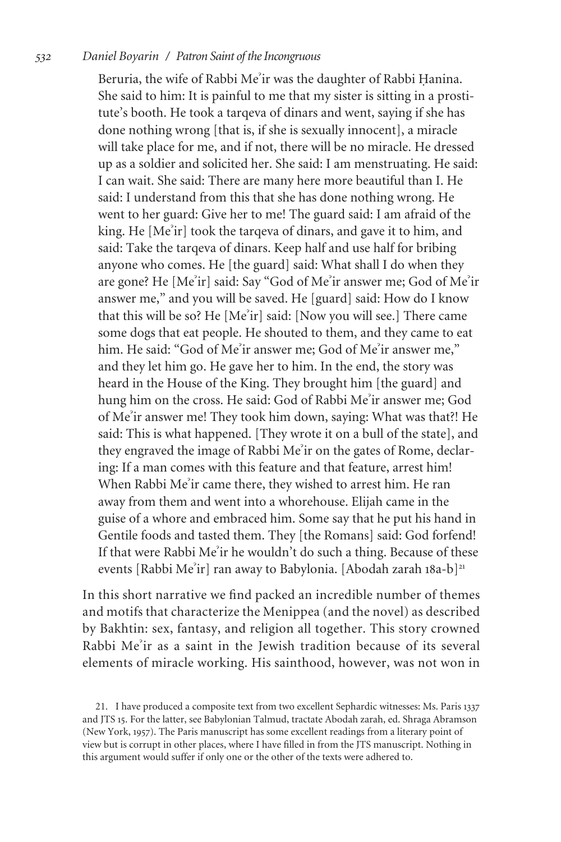Beruria, the wife of Rabbi Me'ir was the daughter of Rabbi Hanina. She said to him: It is painful to me that my sister is sitting in a prostitute's booth. He took a tarqeva of dinars and went, saying if she has done nothing wrong [that is, if she is sexually innocent], a miracle will take place for me, and if not, there will be no miracle. He dressed up as a soldier and solicited her. She said: I am menstruating. He said: I can wait. She said: There are many here more beautiful than I. He said: I understand from this that she has done nothing wrong. He went to her guard: Give her to me! The guard said: I am afraid of the king. He [Me'ir] took the tarqeva of dinars, and gave it to him, and said: Take the tarqeva of dinars. Keep half and use half for bribing anyone who comes. He [the guard] said: What shall I do when they are gone? He [Me'ir] said: Say "God of Me'ir answer me; God of Me'ir answer me," and you will be saved. He [guard] said: How do I know that this will be so? He [Me'ir] said: [Now you will see.] There came some dogs that eat people. He shouted to them, and they came to eat him. He said: "God of Me'ir answer me; God of Me'ir answer me," and they let him go. He gave her to him. In the end, the story was heard in the House of the King. They brought him [the guard] and hung him on the cross. He said: God of Rabbi Me'ir answer me; God of Me'ir answer me! They took him down, saying: What was that?! He said: This is what happened. [They wrote it on a bull of the state], and they engraved the image of Rabbi Me<sup>2</sup>ir on the gates of Rome, declaring: If a man comes with this feature and that feature, arrest him! When Rabbi Me'ir came there, they wished to arrest him. He ran away from them and went into a whorehouse. Elijah came in the guise of a whore and embraced him. Some say that he put his hand in Gentile foods and tasted them. They [the Romans] said: God forfend! If that were Rabbi Me'ir he wouldn't do such a thing. Because of these events [Rabbi Me'ir] ran away to Babylonia. [Abodah zarah 18a-b]<sup>21</sup>

In this short narrative we find packed an incredible number of themes and motifs that characterize the Menippea (and the novel) as described by Bakhtin: sex, fantasy, and religion all together. This story crowned Rabbi Me<sup>2</sup>ir as a saint in the Jewish tradition because of its several elements of miracle working. His sainthood, however, was not won in

21. I have produced a composite text from two excellent Sephardic witnesses: Ms. Paris 1337 and JTS 15. For the latter, see Babylonian Talmud, tractate Abodah zarah, ed. Shraga Abramson (New York, 1957). The Paris manuscript has some excellent readings from a literary point of view but is corrupt in other places, where I have filled in from the JTS manuscript. Nothing in this argument would suffer if only one or the other of the texts were adhered to.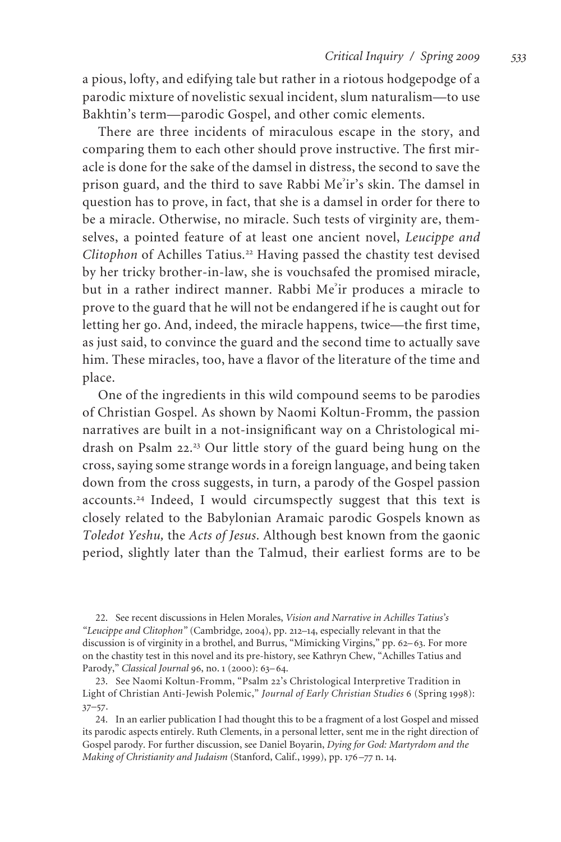a pious, lofty, and edifying tale but rather in a riotous hodgepodge of a parodic mixture of novelistic sexual incident, slum naturalism—to use Bakhtin's term—parodic Gospel, and other comic elements.

There are three incidents of miraculous escape in the story, and comparing them to each other should prove instructive. The first miracle is done for the sake of the damsel in distress, the second to save the prison guard, and the third to save Rabbi Me'ir's skin. The damsel in question has to prove, in fact, that she is a damsel in order for there to be a miracle. Otherwise, no miracle. Such tests of virginity are, themselves, a pointed feature of at least one ancient novel, *Leucippe and Clitophon* of Achilles Tatius.<sup>22</sup> Having passed the chastity test devised by her tricky brother-in-law, she is vouchsafed the promised miracle, but in a rather indirect manner. Rabbi Me'ir produces a miracle to prove to the guard that he will not be endangered if he is caught out for letting her go. And, indeed, the miracle happens, twice—the first time, as just said, to convince the guard and the second time to actually save him. These miracles, too, have a flavor of the literature of the time and place.

One of the ingredients in this wild compound seems to be parodies of Christian Gospel. As shown by Naomi Koltun-Fromm, the passion narratives are built in a not-insignificant way on a Christological midrash on Psalm 22. <sup>23</sup> Our little story of the guard being hung on the cross, saying some strange words in a foreign language, and being taken down from the cross suggests, in turn, a parody of the Gospel passion accounts.<sup>24</sup> Indeed, I would circumspectly suggest that this text is closely related to the Babylonian Aramaic parodic Gospels known as *Toledot Yeshu,* the *Acts of Jesus*. Although best known from the gaonic period, slightly later than the Talmud, their earliest forms are to be

22. See recent discussions in Helen Morales, *Vision and Narrative in Achilles Tatius's "Leucippe and Clitophon"* (Cambridge, 2004), pp. 212–14, especially relevant in that the discussion is of virginity in a brothel, and Burrus, "Mimicking Virgins," pp. 62–63. For more on the chastity test in this novel and its pre-history, see Kathryn Chew, "Achilles Tatius and Parody," *Classical Journal* 96, no. 1 (2000): 63–64.

23. See Naomi Koltun-Fromm, "Psalm 22's Christological Interpretive Tradition in Light of Christian Anti-Jewish Polemic," *Journal of Early Christian Studies* 6 (Spring 1998): 37–57.

24. In an earlier publication I had thought this to be a fragment of a lost Gospel and missed its parodic aspects entirely. Ruth Clements, in a personal letter, sent me in the right direction of Gospel parody. For further discussion, see Daniel Boyarin, *Dying for God: Martyrdom and the Making of Christianity and Judaism* (Stanford, Calif., 1999), pp. 176–77 n. 14.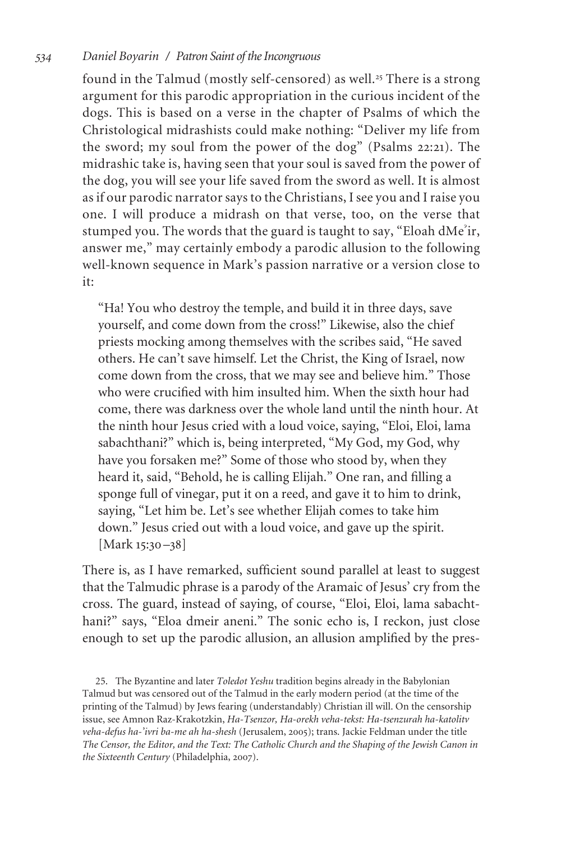found in the Talmud (mostly self-censored) as well.<sup>25</sup> There is a strong argument for this parodic appropriation in the curious incident of the dogs. This is based on a verse in the chapter of Psalms of which the Christological midrashists could make nothing: "Deliver my life from the sword; my soul from the power of the dog" (Psalms 22:21). The midrashic take is, having seen that your soul is saved from the power of the dog, you will see your life saved from the sword as well. It is almost as if our parodic narrator says to the Christians, I see you and I raise you one. I will produce a midrash on that verse, too, on the verse that stumped you. The words that the guard is taught to say, "Eloah dMe'ir, answer me," may certainly embody a parodic allusion to the following well-known sequence in Mark's passion narrative or a version close to it:

"Ha! You who destroy the temple, and build it in three days, save yourself, and come down from the cross!" Likewise, also the chief priests mocking among themselves with the scribes said, "He saved others. He can't save himself. Let the Christ, the King of Israel, now come down from the cross, that we may see and believe him." Those who were crucified with him insulted him. When the sixth hour had come, there was darkness over the whole land until the ninth hour. At the ninth hour Jesus cried with a loud voice, saying, "Eloi, Eloi, lama sabachthani?" which is, being interpreted, "My God, my God, why have you forsaken me?" Some of those who stood by, when they heard it, said, "Behold, he is calling Elijah." One ran, and filling a sponge full of vinegar, put it on a reed, and gave it to him to drink, saying, "Let him be. Let's see whether Elijah comes to take him down." Jesus cried out with a loud voice, and gave up the spirit. [Mark 15:30–38]

There is, as I have remarked, sufficient sound parallel at least to suggest that the Talmudic phrase is a parody of the Aramaic of Jesus' cry from the cross. The guard, instead of saying, of course, "Eloi, Eloi, lama sabachthani?" says, "Eloa dmeir aneni." The sonic echo is, I reckon, just close enough to set up the parodic allusion, an allusion amplified by the pres-

25. The Byzantine and later *Toledot Yeshu* tradition begins already in the Babylonian Talmud but was censored out of the Talmud in the early modern period (at the time of the printing of the Talmud) by Jews fearing (understandably) Christian ill will. On the censorship issue, see Amnon Raz-Krakotzkin, *Ha-Tsenzor, Ha-orekh veha-tekst: Ha-tsenzurah ha-katolitv veha-defus ha-'ivri ba-me ah ha-shesh* (Jerusalem, 2005); trans. Jackie Feldman under the title *The Censor, the Editor, and the Text: The Catholic Church and the Shaping of the Jewish Canon in the Sixteenth Century* (Philadelphia, 2007).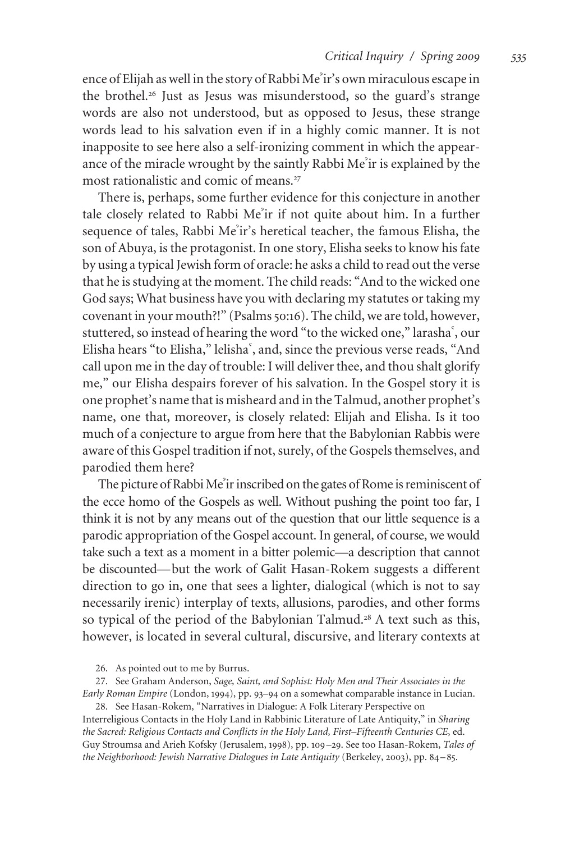ence of Elijah as well in the story of Rabbi Me'ir's own miraculous escape in the brothel.<sup>26</sup> Just as Jesus was misunderstood, so the guard's strange words are also not understood, but as opposed to Jesus, these strange words lead to his salvation even if in a highly comic manner. It is not inapposite to see here also a self-ironizing comment in which the appearance of the miracle wrought by the saintly Rabbi Me'ir is explained by the most rationalistic and comic of means.<sup>27</sup>

There is, perhaps, some further evidence for this conjecture in another tale closely related to Rabbi Me'ir if not quite about him. In a further sequence of tales, Rabbi Me'ir's heretical teacher, the famous Elisha, the son of Abuya, is the protagonist. In one story, Elisha seeks to know his fate by using a typical Jewish form of oracle: he asks a child to read out the verse that he is studying at the moment. The child reads: "And to the wicked one God says; What business have you with declaring my statutes or taking my covenant in your mouth?!" (Psalms 50:16). The child, we are told, however, stuttered, so instead of hearing the word "to the wicked one," larasha`, our Elisha hears "to Elisha," lelishaʿ, and, since the previous verse reads, "And call upon me in the day of trouble: I will deliver thee, and thou shalt glorify me," our Elisha despairs forever of his salvation. In the Gospel story it is one prophet's name that is misheard and in the Talmud, another prophet's name, one that, moreover, is closely related: Elijah and Elisha. Is it too much of a conjecture to argue from here that the Babylonian Rabbis were aware of this Gospel tradition if not, surely, of the Gospels themselves, and parodied them here?

The picture of Rabbi Me'ir inscribed on the gates of Rome is reminiscent of the ecce homo of the Gospels as well. Without pushing the point too far, I think it is not by any means out of the question that our little sequence is a parodic appropriation of the Gospel account. In general, of course, we would take such a text as a moment in a bitter polemic—a description that cannot be discounted—but the work of Galit Hasan-Rokem suggests a different direction to go in, one that sees a lighter, dialogical (which is not to say necessarily irenic) interplay of texts, allusions, parodies, and other forms so typical of the period of the Babylonian Talmud.<sup>28</sup> A text such as this, however, is located in several cultural, discursive, and literary contexts at

26. As pointed out to me by Burrus.

27. See Graham Anderson, *Sage, Saint, and Sophist: Holy Men and Their Associates in the Early Roman Empire* (London, 1994), pp. 93–94 on a somewhat comparable instance in Lucian.

28. See Hasan-Rokem, "Narratives in Dialogue: A Folk Literary Perspective on Interreligious Contacts in the Holy Land in Rabbinic Literature of Late Antiquity," in *Sharing the Sacred: Religious Contacts and Conflicts in the Holy Land, First–Fifteenth Centuries CE*, ed. Guy Stroumsa and Arieh Kofsky (Jerusalem, 1998), pp. 109–29. See too Hasan-Rokem, *Tales of the Neighborhood: Jewish Narrative Dialogues in Late Antiquity* (Berkeley, 2003), pp. 84–85.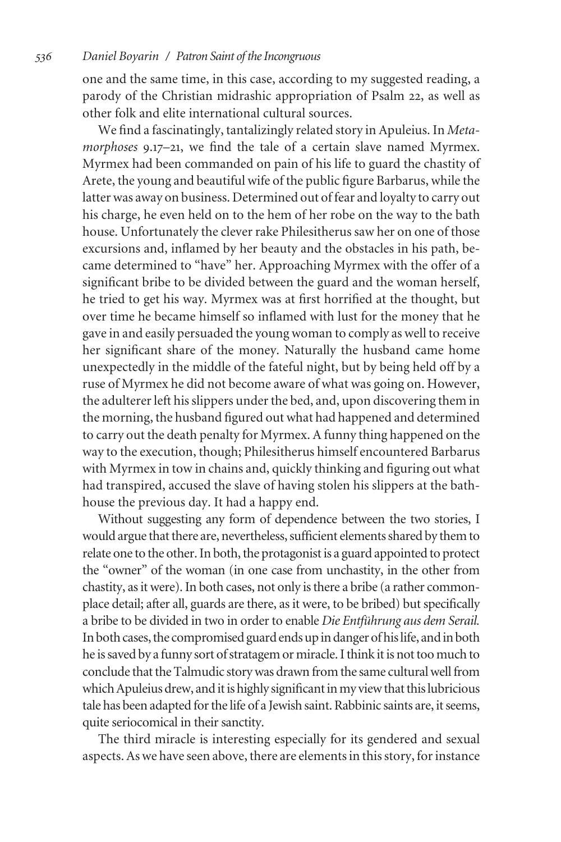one and the same time, in this case, according to my suggested reading, a parody of the Christian midrashic appropriation of Psalm 22, as well as other folk and elite international cultural sources.

We find a fascinatingly, tantalizingly related story in Apuleius. In *Metamorphoses* 9.17–21, we find the tale of a certain slave named Myrmex. Myrmex had been commanded on pain of his life to guard the chastity of Arete, the young and beautiful wife of the public figure Barbarus, while the latter was away on business. Determined out of fear and loyalty to carry out his charge, he even held on to the hem of her robe on the way to the bath house. Unfortunately the clever rake Philesitherus saw her on one of those excursions and, inflamed by her beauty and the obstacles in his path, became determined to "have" her. Approaching Myrmex with the offer of a significant bribe to be divided between the guard and the woman herself, he tried to get his way. Myrmex was at first horrified at the thought, but over time he became himself so inflamed with lust for the money that he gave in and easily persuaded the young woman to comply as well to receive her significant share of the money. Naturally the husband came home unexpectedly in the middle of the fateful night, but by being held off by a ruse of Myrmex he did not become aware of what was going on. However, the adulterer left his slippers under the bed, and, upon discovering them in the morning, the husband figured out what had happened and determined to carry out the death penalty for Myrmex. A funny thing happened on the way to the execution, though; Philesitherus himself encountered Barbarus with Myrmex in tow in chains and, quickly thinking and figuring out what had transpired, accused the slave of having stolen his slippers at the bathhouse the previous day. It had a happy end.

Without suggesting any form of dependence between the two stories, I would argue that there are, nevertheless, sufficient elements shared by them to relate one to the other. In both, the protagonist is a guard appointed to protect the "owner" of the woman (in one case from unchastity, in the other from chastity, as it were). In both cases, not only is there a bribe (a rather commonplace detail; after all, guards are there, as it were, to be bribed) but specifically a bribe to be divided in two in order to enable *Die Entführung aus dem Serail*. In both cases, the compromised guard ends up in danger of his life, and in both he is saved by a funny sort of stratagem or miracle. I think it is not too much to conclude that the Talmudic story was drawn from the same cultural well from which Apuleius drew, and it is highly significant in my view that this lubricious tale has been adapted for the life of a Jewish saint. Rabbinic saints are, it seems, quite seriocomical in their sanctity.

The third miracle is interesting especially for its gendered and sexual aspects. As we have seen above, there are elements in this story, for instance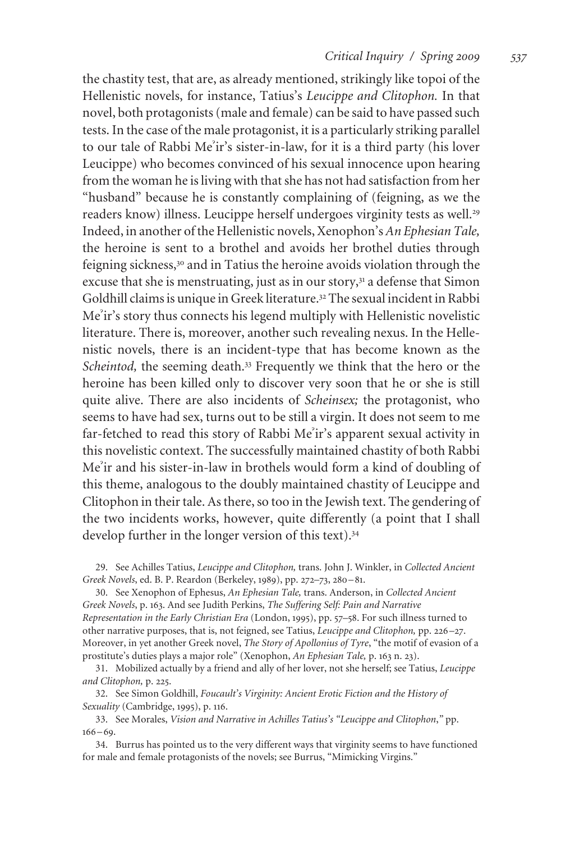the chastity test, that are, as already mentioned, strikingly like topoi of the Hellenistic novels, for instance, Tatius's *Leucippe and Clitophon.* In that novel, both protagonists (male and female) can be said to have passed such tests. In the case of the male protagonist, it is a particularly striking parallel to our tale of Rabbi Me'ir's sister-in-law, for it is a third party (his lover Leucippe) who becomes convinced of his sexual innocence upon hearing from the woman he is living with that she has not had satisfaction from her "husband" because he is constantly complaining of (feigning, as we the readers know) illness. Leucippe herself undergoes virginity tests as well.<sup>29</sup> Indeed, in another of the Hellenistic novels, Xenophon's *An Ephesian Tale,* the heroine is sent to a brothel and avoids her brothel duties through feigning sickness,<sup>30</sup> and in Tatius the heroine avoids violation through the excuse that she is menstruating, just as in our story,<sup>31</sup> a defense that Simon Goldhill claims is unique in Greek literature.<sup>32</sup> The sexual incident in Rabbi Me'ir's story thus connects his legend multiply with Hellenistic novelistic literature. There is, moreover, another such revealing nexus. In the Hellenistic novels, there is an incident-type that has become known as the *Scheintod*, the seeming death.<sup>33</sup> Frequently we think that the hero or the heroine has been killed only to discover very soon that he or she is still quite alive. There are also incidents of *Scheinsex;* the protagonist, who seems to have had sex, turns out to be still a virgin. It does not seem to me far-fetched to read this story of Rabbi Me<sup>2</sup>ir's apparent sexual activity in this novelistic context. The successfully maintained chastity of both Rabbi Me'ir and his sister-in-law in brothels would form a kind of doubling of this theme, analogous to the doubly maintained chastity of Leucippe and Clitophon in their tale. As there, so too in the Jewish text. The gendering of the two incidents works, however, quite differently (a point that I shall develop further in the longer version of this text).<sup>34</sup>

29. See Achilles Tatius, *Leucippe and Clitophon,* trans. John J. Winkler, in *Collected Ancient Greek Novels*, ed. B. P. Reardon (Berkeley, 1989), pp. 272–73, 280–81.

30. See Xenophon of Ephesus, *An Ephesian Tale,* trans. Anderson, in *Collected Ancient Greek Novels*, p. 163. And see Judith Perkins, *The Suffering Self: Pain and Narrative Representation in the Early Christian Era* (London, 1995), pp. 57–58. For such illness turned to other narrative purposes, that is, not feigned, see Tatius, *Leucippe and Clitophon,* pp. 226–27. Moreover, in yet another Greek novel, *The Story of Apollonius of Tyre*, "the motif of evasion of a prostitute's duties plays a major role" (Xenophon, *An Ephesian Tale,* p. 163 n. 23).

31. Mobilized actually by a friend and ally of her lover, not she herself; see Tatius, *Leucippe and Clitophon,* p. 225.

32. See Simon Goldhill, *Foucault's Virginity: Ancient Erotic Fiction and the History of Sexuality* (Cambridge, 1995), p. 116.

33. See Morales, *Vision and Narrative in Achilles Tatius's "Leucippe and Clitophon*,*"* pp.  $166 - 69.$ 

34. Burrus has pointed us to the very different ways that virginity seems to have functioned for male and female protagonists of the novels; see Burrus, "Mimicking Virgins."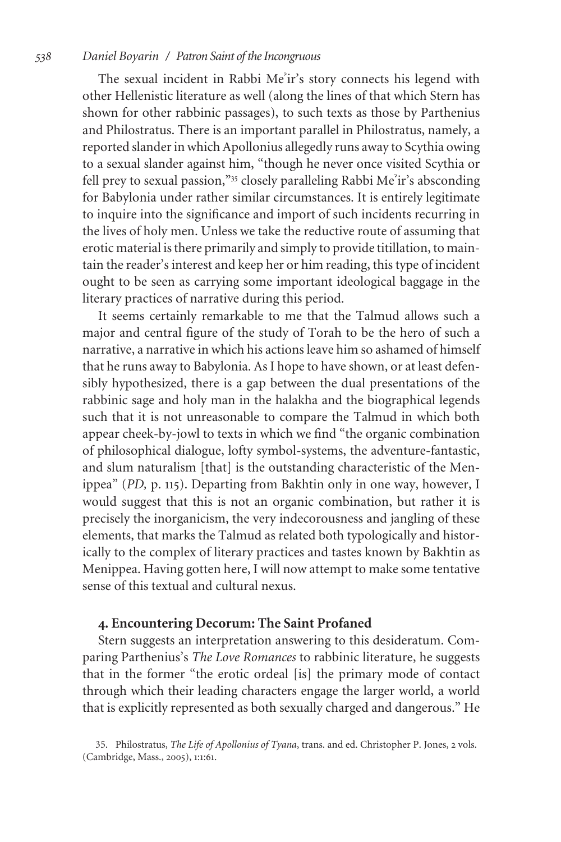The sexual incident in Rabbi Me<sup>2</sup>ir's story connects his legend with other Hellenistic literature as well (along the lines of that which Stern has shown for other rabbinic passages), to such texts as those by Parthenius and Philostratus. There is an important parallel in Philostratus, namely, a reported slander in which Apollonius allegedly runs away to Scythia owing to a sexual slander against him, "though he never once visited Scythia or fell prey to sexual passion,"<sup>35</sup> closely paralleling Rabbi Me<sup>2</sup>ir's absconding for Babylonia under rather similar circumstances. It is entirely legitimate to inquire into the significance and import of such incidents recurring in the lives of holy men. Unless we take the reductive route of assuming that erotic material is there primarily and simply to provide titillation, to maintain the reader's interest and keep her or him reading, this type of incident ought to be seen as carrying some important ideological baggage in the literary practices of narrative during this period.

It seems certainly remarkable to me that the Talmud allows such a major and central figure of the study of Torah to be the hero of such a narrative, a narrative in which his actions leave him so ashamed of himself that he runs away to Babylonia. As I hope to have shown, or at least defensibly hypothesized, there is a gap between the dual presentations of the rabbinic sage and holy man in the halakha and the biographical legends such that it is not unreasonable to compare the Talmud in which both appear cheek-by-jowl to texts in which we find "the organic combination of philosophical dialogue, lofty symbol-systems, the adventure-fantastic, and slum naturalism [that] is the outstanding characteristic of the Menippea" (*PD,* p. 115). Departing from Bakhtin only in one way, however, I would suggest that this is not an organic combination, but rather it is precisely the inorganicism, the very indecorousness and jangling of these elements, that marks the Talmud as related both typologically and historically to the complex of literary practices and tastes known by Bakhtin as Menippea. Having gotten here, I will now attempt to make some tentative sense of this textual and cultural nexus.

## **4. Encountering Decorum: The Saint Profaned**

Stern suggests an interpretation answering to this desideratum. Comparing Parthenius's *The Love Romances* to rabbinic literature, he suggests that in the former "the erotic ordeal [is] the primary mode of contact through which their leading characters engage the larger world, a world that is explicitly represented as both sexually charged and dangerous." He

<sup>35.</sup> Philostratus, *The Life of Apollonius of Tyana*, trans. and ed. Christopher P. Jones, 2 vols. (Cambridge, Mass., 2005), 1:1:61.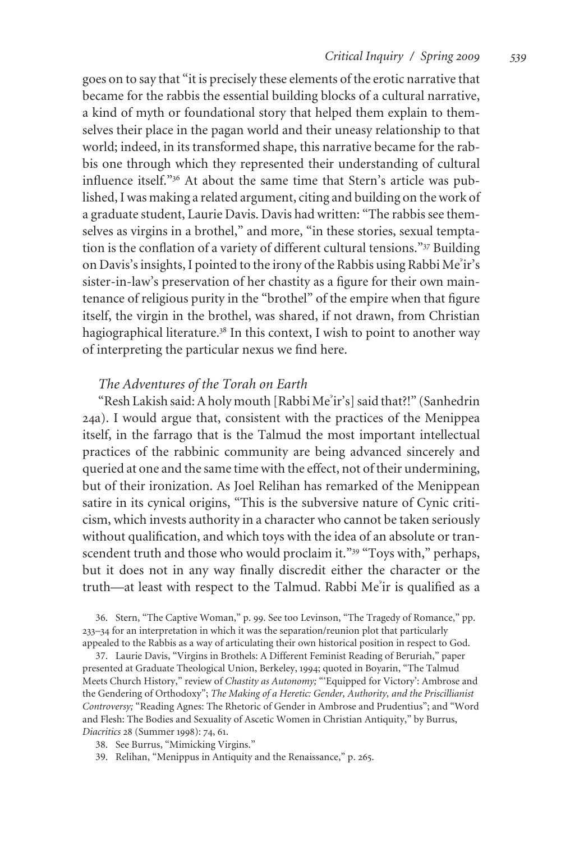goes on to say that "it is precisely these elements of the erotic narrative that became for the rabbis the essential building blocks of a cultural narrative, a kind of myth or foundational story that helped them explain to themselves their place in the pagan world and their uneasy relationship to that world; indeed, in its transformed shape, this narrative became for the rabbis one through which they represented their understanding of cultural influence itself."<sup>36</sup> At about the same time that Stern's article was published, I was making a related argument, citing and building on the work of a graduate student, Laurie Davis. Davis had written: "The rabbis see themselves as virgins in a brothel," and more, "in these stories, sexual temptation is the conflation of a variety of different cultural tensions."<sup>37</sup> Building on Davis's insights, I pointed to the irony of the Rabbis using Rabbi Me'ir's sister-in-law's preservation of her chastity as a figure for their own maintenance of religious purity in the "brothel" of the empire when that figure itself, the virgin in the brothel, was shared, if not drawn, from Christian hagiographical literature.<sup>38</sup> In this context, I wish to point to another way of interpreting the particular nexus we find here.

## *The Adventures of the Torah on Earth*

"Resh Lakish said: A holy mouth [Rabbi Me'ir's] said that?!" (Sanhedrin 24a). I would argue that, consistent with the practices of the Menippea itself, in the farrago that is the Talmud the most important intellectual practices of the rabbinic community are being advanced sincerely and queried at one and the same time with the effect, not of their undermining, but of their ironization. As Joel Relihan has remarked of the Menippean satire in its cynical origins, "This is the subversive nature of Cynic criticism, which invests authority in a character who cannot be taken seriously without qualification, and which toys with the idea of an absolute or transcendent truth and those who would proclaim it."<sup>39</sup> "Toys with," perhaps, but it does not in any way finally discredit either the character or the truth—at least with respect to the Talmud. Rabbi Me'ir is qualified as a

36. Stern, "The Captive Woman," p. 99. See too Levinson, "The Tragedy of Romance," pp. 233–34 for an interpretation in which it was the separation/reunion plot that particularly appealed to the Rabbis as a way of articulating their own historical position in respect to God.

37. Laurie Davis, "Virgins in Brothels: A Different Feminist Reading of Beruriah," paper presented at Graduate Theological Union, Berkeley, 1994; quoted in Boyarin, "The Talmud Meets Church History," review of *Chastity as Autonomy;* "'Equipped for Victory': Ambrose and the Gendering of Orthodoxy"; *The Making of a Heretic: Gender, Authority, and the Priscillianist Controversy;* "Reading Agnes: The Rhetoric of Gender in Ambrose and Prudentius"; and "Word and Flesh: The Bodies and Sexuality of Ascetic Women in Christian Antiquity," by Burrus, *Diacritics* 28 (Summer 1998): 74, 61.

- 38. See Burrus, "Mimicking Virgins."
- 39. Relihan, "Menippus in Antiquity and the Renaissance," p. 265.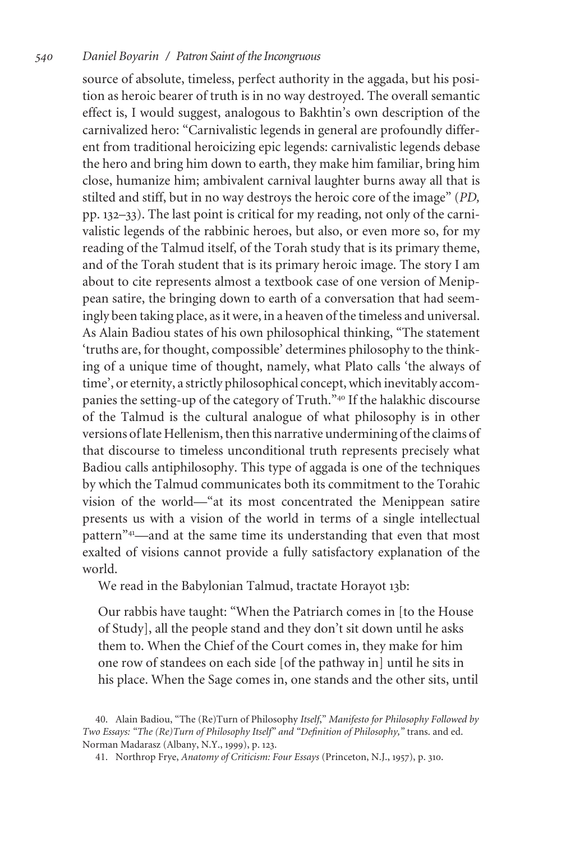source of absolute, timeless, perfect authority in the aggada, but his position as heroic bearer of truth is in no way destroyed. The overall semantic effect is, I would suggest, analogous to Bakhtin's own description of the carnivalized hero: "Carnivalistic legends in general are profoundly different from traditional heroicizing epic legends: carnivalistic legends debase the hero and bring him down to earth, they make him familiar, bring him close, humanize him; ambivalent carnival laughter burns away all that is stilted and stiff, but in no way destroys the heroic core of the image" (*PD,* pp. 132–33). The last point is critical for my reading, not only of the carnivalistic legends of the rabbinic heroes, but also, or even more so, for my reading of the Talmud itself, of the Torah study that is its primary theme, and of the Torah student that is its primary heroic image. The story I am about to cite represents almost a textbook case of one version of Menippean satire, the bringing down to earth of a conversation that had seemingly been taking place, as it were, in a heaven of the timeless and universal. As Alain Badiou states of his own philosophical thinking, "The statement 'truths are, for thought, compossible' determines philosophy to the thinking of a unique time of thought, namely, what Plato calls 'the always of time', or eternity, a strictly philosophical concept, which inevitably accompanies the setting-up of the category of Truth."<sup>40</sup> If the halakhic discourse of the Talmud is the cultural analogue of what philosophy is in other versions of late Hellenism, then this narrative undermining of the claims of that discourse to timeless unconditional truth represents precisely what Badiou calls antiphilosophy. This type of aggada is one of the techniques by which the Talmud communicates both its commitment to the Torahic vision of the world—"at its most concentrated the Menippean satire presents us with a vision of the world in terms of a single intellectual pattern<sup>"41</sup>—and at the same time its understanding that even that most exalted of visions cannot provide a fully satisfactory explanation of the world.

We read in the Babylonian Talmud, tractate Horayot 13b:

Our rabbis have taught: "When the Patriarch comes in [to the House of Study], all the people stand and they don't sit down until he asks them to. When the Chief of the Court comes in, they make for him one row of standees on each side [of the pathway in] until he sits in his place. When the Sage comes in, one stands and the other sits, until

<sup>40.</sup> Alain Badiou, "The (Re)Turn of Philosophy *Itself*," *Manifesto for Philosophy Followed by Two Essays: "The (Re)Turn of Philosophy Itself" and "Definition of Philosophy,"* trans. and ed. Norman Madarasz (Albany, N.Y., 1999), p. 123.

<sup>41.</sup> Northrop Frye, *Anatomy of Criticism: Four Essays* (Princeton, N.J., 1957), p. 310.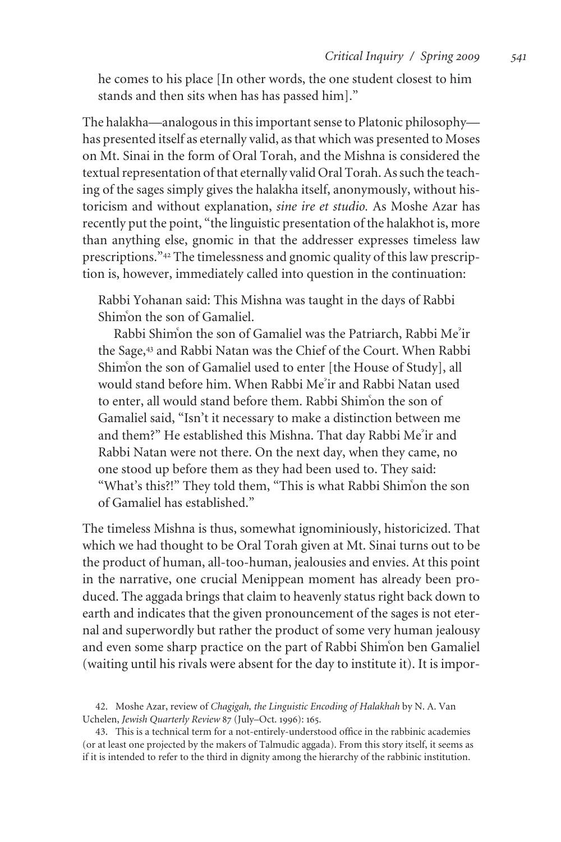he comes to his place [In other words, the one student closest to him stands and then sits when has has passed him]."

The halakha—analogous in this important sense to Platonic philosophy has presented itself as eternally valid, as that which was presented to Moses on Mt. Sinai in the form of Oral Torah, and the Mishna is considered the textual representation of that eternally valid Oral Torah. As such the teaching of the sages simply gives the halakha itself, anonymously, without historicism and without explanation, *sine ire et studio.* As Moshe Azar has recently put the point, "the linguistic presentation of the halakhot is, more than anything else, gnomic in that the addresser expresses timeless law prescriptions."<sup>42</sup> The timelessness and gnomic quality of this law prescription is, however, immediately called into question in the continuation:

Rabbi Yohanan said: This Mishna was taught in the days of Rabbi Shim-on the son of Gamaliel.

Rabbi Shim`on the son of Gamaliel was the Patriarch, Rabbi Me $^{\circ}$ ir the Sage,<sup>43</sup> and Rabbi Natan was the Chief of the Court. When Rabbi Shim-on the son of Gamaliel used to enter [the House of Study], all would stand before him. When Rabbi Me'ir and Rabbi Natan used to enter, all would stand before them. Rabbi Shim`on the son of Gamaliel said, "Isn't it necessary to make a distinction between me and them?" He established this Mishna. That day Rabbi Me'ir and Rabbi Natan were not there. On the next day, when they came, no one stood up before them as they had been used to. They said: "What's this?!" They told them, "This is what Rabbi Shim`on the son of Gamaliel has established."

The timeless Mishna is thus, somewhat ignominiously, historicized. That which we had thought to be Oral Torah given at Mt. Sinai turns out to be the product of human, all-too-human, jealousies and envies. At this point in the narrative, one crucial Menippean moment has already been produced. The aggada brings that claim to heavenly status right back down to earth and indicates that the given pronouncement of the sages is not eternal and superwordly but rather the product of some very human jealousy and even some sharp practice on the part of Rabbi Shim`on ben Gamaliel (waiting until his rivals were absent for the day to institute it). It is impor-

43. This is a technical term for a not-entirely-understood office in the rabbinic academies (or at least one projected by the makers of Talmudic aggada). From this story itself, it seems as if it is intended to refer to the third in dignity among the hierarchy of the rabbinic institution.

<sup>42.</sup> Moshe Azar, review of *Chagigah, the Linguistic Encoding of Halakhah* by N. A. Van Uchelen, *Jewish Quarterly Review* 87 (July–Oct. 1996): 165.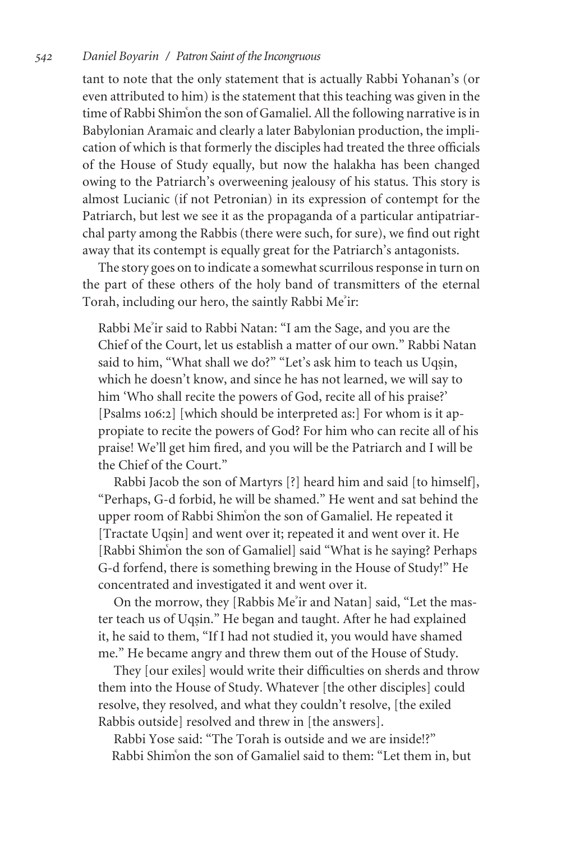tant to note that the only statement that is actually Rabbi Yohanan's (or even attributed to him) is the statement that this teaching was given in the time of Rabbi Shim`on the son of Gamaliel. All the following narrative is in Babylonian Aramaic and clearly a later Babylonian production, the implication of which is that formerly the disciples had treated the three officials of the House of Study equally, but now the halakha has been changed owing to the Patriarch's overweening jealousy of his status. This story is almost Lucianic (if not Petronian) in its expression of contempt for the Patriarch, but lest we see it as the propaganda of a particular antipatriarchal party among the Rabbis (there were such, for sure), we find out right away that its contempt is equally great for the Patriarch's antagonists.

The story goes on to indicate a somewhat scurrilous response in turn on the part of these others of the holy band of transmitters of the eternal Torah, including our hero, the saintly Rabbi Me'ir:

Rabbi Me'ir said to Rabbi Natan: "I am the Sage, and you are the Chief of the Court, let us establish a matter of our own." Rabbi Natan said to him, "What shall we do?" "Let's ask him to teach us Uqsin, which he doesn't know, and since he has not learned, we will say to him 'Who shall recite the powers of God, recite all of his praise?' [Psalms 106:2] [which should be interpreted as:] For whom is it appropiate to recite the powers of God? For him who can recite all of his praise! We'll get him fired, and you will be the Patriarch and I will be the Chief of the Court."

Rabbi Jacob the son of Martyrs [?] heard him and said [to himself], "Perhaps, G-d forbid, he will be shamed." He went and sat behind the upper room of Rabbi Shim`on the son of Gamaliel. He repeated it [Tractate Uqsin] and went over it; repeated it and went over it. He [Rabbi Shimon the son of Gamaliel] said "What is he saying? Perhaps G-d forfend, there is something brewing in the House of Study!" He concentrated and investigated it and went over it.

On the morrow, they [Rabbis Me'ir and Natan] said, "Let the master teach us of Uqsin." He began and taught. After he had explained it, he said to them, "If I had not studied it, you would have shamed me." He became angry and threw them out of the House of Study.

They [our exiles] would write their difficulties on sherds and throw them into the House of Study. Whatever [the other disciples] could resolve, they resolved, and what they couldn't resolve, [the exiled Rabbis outside] resolved and threw in [the answers].

Rabbi Yose said: "The Torah is outside and we are inside!?" Rabbi Shim`on the son of Gamaliel said to them: "Let them in, but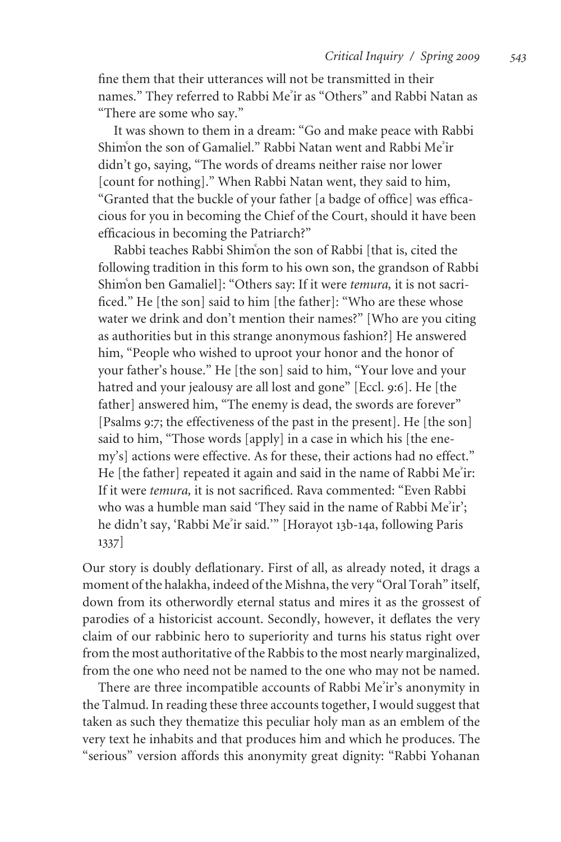fine them that their utterances will not be transmitted in their names." They referred to Rabbi Me'ir as "Others" and Rabbi Natan as "There are some who say."

It was shown to them in a dream: "Go and make peace with Rabbi Shim`on the son of Gamaliel." Rabbi Natan went and Rabbi Me'ir didn't go, saying, "The words of dreams neither raise nor lower [count for nothing]." When Rabbi Natan went, they said to him, "Granted that the buckle of your father [a badge of office] was efficacious for you in becoming the Chief of the Court, should it have been efficacious in becoming the Patriarch?"

Rabbi teaches Rabbi Shim`on the son of Rabbi [that is, cited the following tradition in this form to his own son, the grandson of Rabbi Shim-on ben Gamaliel]: "Others say: If it were *temura,* it is not sacrificed." He [the son] said to him [the father]: "Who are these whose water we drink and don't mention their names?" [Who are you citing as authorities but in this strange anonymous fashion?] He answered him, "People who wished to uproot your honor and the honor of your father's house." He [the son] said to him, "Your love and your hatred and your jealousy are all lost and gone" [Eccl. 9:6]. He [the father] answered him, "The enemy is dead, the swords are forever" [Psalms 9:7; the effectiveness of the past in the present]. He [the son] said to him, "Those words [apply] in a case in which his [the enemy's] actions were effective. As for these, their actions had no effect." He [the father] repeated it again and said in the name of Rabbi Me'ir: If it were *temura,* it is not sacrificed. Rava commented: "Even Rabbi who was a humble man said 'They said in the name of Rabbi Me'ir'; he didn't say, 'Rabbi Me'ir said.'" [Horayot 13b-14a, following Paris 1337]

Our story is doubly deflationary. First of all, as already noted, it drags a moment of the halakha, indeed of the Mishna, the very "Oral Torah" itself, down from its otherwordly eternal status and mires it as the grossest of parodies of a historicist account. Secondly, however, it deflates the very claim of our rabbinic hero to superiority and turns his status right over from the most authoritative of the Rabbis to the most nearly marginalized, from the one who need not be named to the one who may not be named.

There are three incompatible accounts of Rabbi Me'ir's anonymity in the Talmud. In reading these three accounts together, I would suggest that taken as such they thematize this peculiar holy man as an emblem of the very text he inhabits and that produces him and which he produces. The "serious" version affords this anonymity great dignity: "Rabbi Yohanan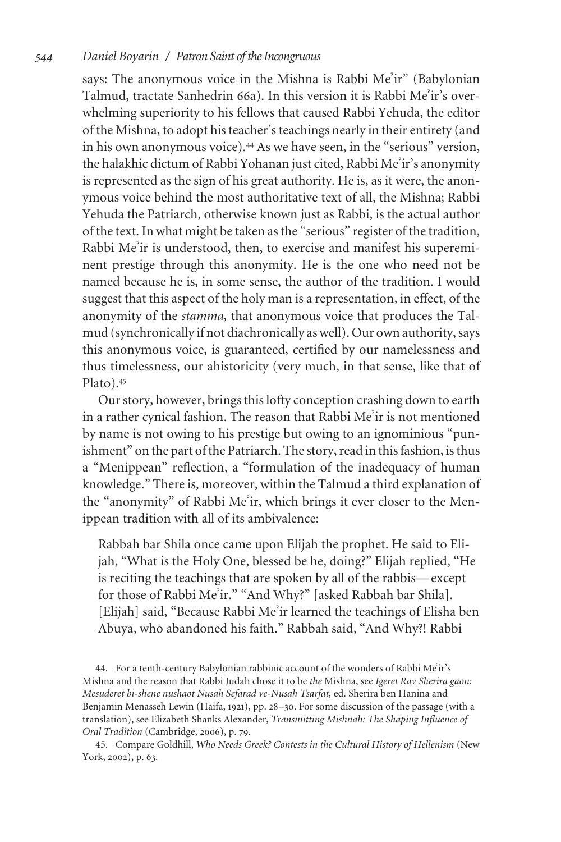says: The anonymous voice in the Mishna is Rabbi Me'ir" (Babylonian Talmud, tractate Sanhedrin 66a). In this version it is Rabbi Me'ir's overwhelming superiority to his fellows that caused Rabbi Yehuda, the editor of the Mishna, to adopt his teacher's teachings nearly in their entirety (and in his own anonymous voice).<sup>44</sup> As we have seen, in the "serious" version, the halakhic dictum of Rabbi Yohanan just cited, Rabbi Me'ir's anonymity is represented as the sign of his great authority. He is, as it were, the anonymous voice behind the most authoritative text of all, the Mishna; Rabbi Yehuda the Patriarch, otherwise known just as Rabbi, is the actual author of the text. In what might be taken as the "serious" register of the tradition, Rabbi Me'ir is understood, then, to exercise and manifest his supereminent prestige through this anonymity. He is the one who need not be named because he is, in some sense, the author of the tradition. I would suggest that this aspect of the holy man is a representation, in effect, of the anonymity of the *stamma,* that anonymous voice that produces the Talmud (synchronically if not diachronically as well). Our own authority, says this anonymous voice, is guaranteed, certified by our namelessness and thus timelessness, our ahistoricity (very much, in that sense, like that of Plato).<sup>45</sup>

Our story, however, brings this lofty conception crashing down to earth in a rather cynical fashion. The reason that Rabbi Me'ir is not mentioned by name is not owing to his prestige but owing to an ignominious "punishment" on the part of the Patriarch. The story, read in this fashion, is thus a "Menippean" reflection, a "formulation of the inadequacy of human knowledge." There is, moreover, within the Talmud a third explanation of the "anonymity" of Rabbi Me'ir, which brings it ever closer to the Menippean tradition with all of its ambivalence:

Rabbah bar Shila once came upon Elijah the prophet. He said to Elijah, "What is the Holy One, blessed be he, doing?" Elijah replied, "He is reciting the teachings that are spoken by all of the rabbis— except for those of Rabbi Me'ir." "And Why?" [asked Rabbah bar Shila]. [Elijah] said, "Because Rabbi Me'ir learned the teachings of Elisha ben Abuya, who abandoned his faith." Rabbah said, "And Why?! Rabbi

44. For a tenth-century Babylonian rabbinic account of the wonders of Rabbi Me'ir's Mishna and the reason that Rabbi Judah chose it to be *the* Mishna, see *Igeret Rav Sherira gaon: Mesuderet bi-shene nushaot Nusah Sefarad ve-Nusah Tsarfat,* ed. Sherira ben Hanina and Benjamin Menasseh Lewin (Haifa, 1921), pp. 28–30. For some discussion of the passage (with a translation), see Elizabeth Shanks Alexander, *Transmitting Mishnah: The Shaping Influence of Oral Tradition* (Cambridge, 2006), p. 79.

45. Compare Goldhill, *Who Needs Greek? Contests in the Cultural History of Hellenism* (New York, 2002), p. 63.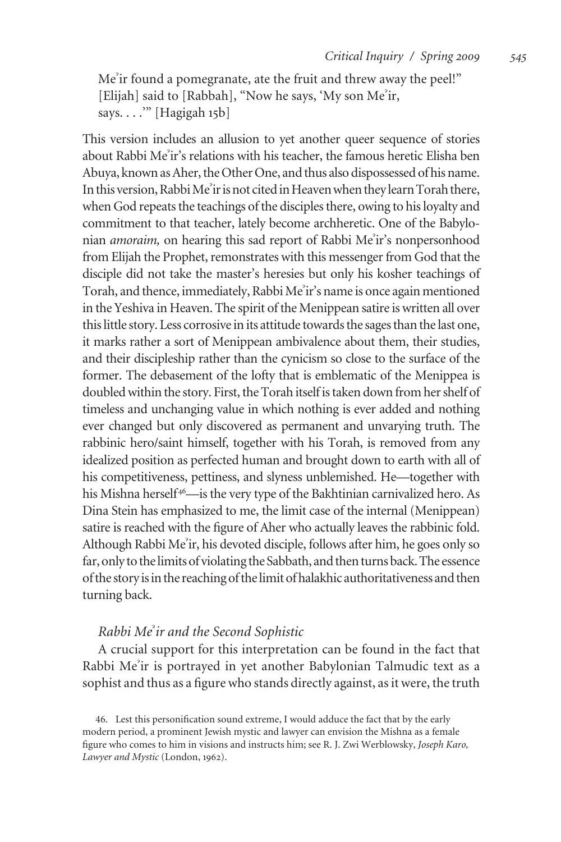Me'ir found a pomegranate, ate the fruit and threw away the peel!" [Elijah] said to [Rabbah], "Now he says, 'My son Me'ir, says.  $\ldots$ ." [Hagigah 15b]

This version includes an allusion to yet another queer sequence of stories about Rabbi Me'ir's relations with his teacher, the famous heretic Elisha ben Abuya, known as Aher, the Other One, and thus also dispossessed of his name. In this version, Rabbi Me'ir is not cited in Heaven when they learn Torah there, when God repeats the teachings of the disciples there, owing to his loyalty and commitment to that teacher, lately become archheretic. One of the Babylonian *amoraim*, on hearing this sad report of Rabbi Me'ir's nonpersonhood from Elijah the Prophet, remonstrates with this messenger from God that the disciple did not take the master's heresies but only his kosher teachings of Torah, and thence, immediately, Rabbi Me'ir's name is once again mentioned in the Yeshiva in Heaven. The spirit of the Menippean satire is written all over this little story. Less corrosive in its attitude towards the sages than the last one, it marks rather a sort of Menippean ambivalence about them, their studies, and their discipleship rather than the cynicism so close to the surface of the former. The debasement of the lofty that is emblematic of the Menippea is doubled within the story. First, the Torah itself is taken down from her shelf of timeless and unchanging value in which nothing is ever added and nothing ever changed but only discovered as permanent and unvarying truth. The rabbinic hero/saint himself, together with his Torah, is removed from any idealized position as perfected human and brought down to earth with all of his competitiveness, pettiness, and slyness unblemished. He—together with his Mishna herself<sup>46</sup>—is the very type of the Bakhtinian carnivalized hero. As Dina Stein has emphasized to me, the limit case of the internal (Menippean) satire is reached with the figure of Aher who actually leaves the rabbinic fold. Although Rabbi Me'ir, his devoted disciple, follows after him, he goes only so far, only to the limits of violating the Sabbath, and then turns back. The essence of the story is in the reaching of the limit of halakhic authoritativeness and then turning back.

## *Rabbi Meir and the Second Sophistic*

A crucial support for this interpretation can be found in the fact that Rabbi Me'ir is portrayed in yet another Babylonian Talmudic text as a sophist and thus as a figure who stands directly against, as it were, the truth

<sup>46.</sup> Lest this personification sound extreme, I would adduce the fact that by the early modern period, a prominent Jewish mystic and lawyer can envision the Mishna as a female figure who comes to him in visions and instructs him; see R. J. Zwi Werblowsky, *Joseph Karo, Lawyer and Mystic* (London, 1962).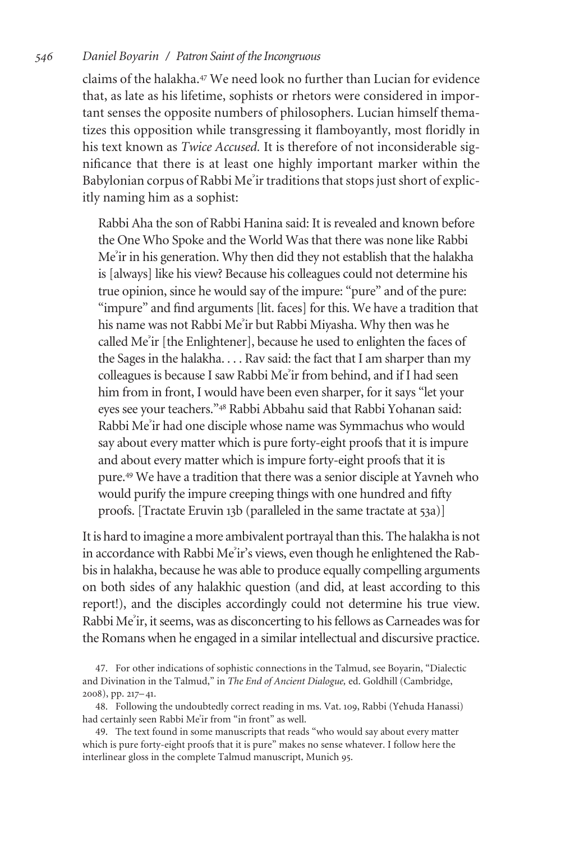claims of the halakha.<sup>47</sup> We need look no further than Lucian for evidence that, as late as his lifetime, sophists or rhetors were considered in important senses the opposite numbers of philosophers. Lucian himself thematizes this opposition while transgressing it flamboyantly, most floridly in his text known as *Twice Accused.* It is therefore of not inconsiderable significance that there is at least one highly important marker within the Babylonian corpus of Rabbi Me'ir traditions that stops just short of explicitly naming him as a sophist:

Rabbi Aha the son of Rabbi Hanina said: It is revealed and known before the One Who Spoke and the World Was that there was none like Rabbi Me'ir in his generation. Why then did they not establish that the halakha is [always] like his view? Because his colleagues could not determine his true opinion, since he would say of the impure: "pure" and of the pure: "impure" and find arguments [lit. faces] for this. We have a tradition that his name was not Rabbi Me'ir but Rabbi Miyasha. Why then was he called Me'ir [the Enlightener], because he used to enlighten the faces of the Sages in the halakha. . . . Rav said: the fact that I am sharper than my colleagues is because I saw Rabbi Me<sup>2</sup>ir from behind, and if I had seen him from in front, I would have been even sharper, for it says "let your eyes see your teachers."<sup>48</sup> Rabbi Abbahu said that Rabbi Yohanan said: Rabbi Me'ir had one disciple whose name was Symmachus who would say about every matter which is pure forty-eight proofs that it is impure and about every matter which is impure forty-eight proofs that it is pure.<sup>49</sup> We have a tradition that there was a senior disciple at Yavneh who would purify the impure creeping things with one hundred and fifty proofs. [Tractate Eruvin 13b (paralleled in the same tractate at 53a)]

It is hard to imagine a more ambivalent portrayal than this. The halakha is not in accordance with Rabbi Me<sup>2</sup>ir's views, even though he enlightened the Rabbis in halakha, because he was able to produce equally compelling arguments on both sides of any halakhic question (and did, at least according to this report!), and the disciples accordingly could not determine his true view. Rabbi Me<sup>2</sup>ir, it seems, was as disconcerting to his fellows as Carneades was for the Romans when he engaged in a similar intellectual and discursive practice.

48. Following the undoubtedly correct reading in ms. Vat. 109, Rabbi (Yehuda Hanassi) had certainly seen Rabbi Me'ir from "in front" as well.

49. The text found in some manuscripts that reads "who would say about every matter which is pure forty-eight proofs that it is pure" makes no sense whatever. I follow here the interlinear gloss in the complete Talmud manuscript, Munich 95.

<sup>47.</sup> For other indications of sophistic connections in the Talmud, see Boyarin, "Dialectic and Divination in the Talmud," in *The End of Ancient Dialogue,* ed. Goldhill (Cambridge, 2008), pp. 217–41.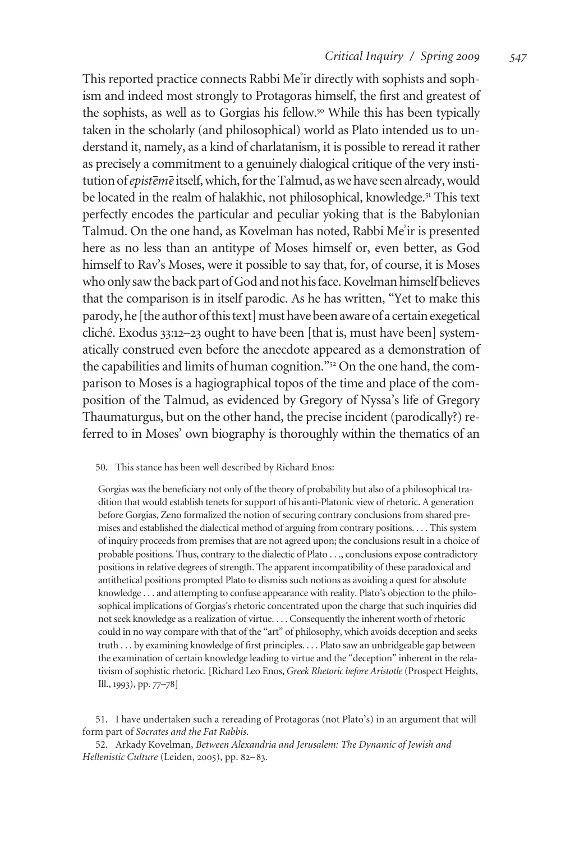This reported practice connects Rabbi Me'ir directly with sophists and sophism and indeed most strongly to Protagoras himself, the first and greatest of the sophists, as well as to Gorgias his fellow.<sup>50</sup> While this has been typically taken in the scholarly (and philosophical) world as Plato intended us to understand it, namely, as a kind of charlatanism, it is possible to reread it rather as precisely a commitment to a genuinely dialogical critique of the very institution of*episteme*itself, which, for the Talmud, as we have seen already, would be located in the realm of halakhic, not philosophical, knowledge.<sup>51</sup> This text perfectly encodes the particular and peculiar yoking that is the Babylonian Talmud. On the one hand, as Kovelman has noted, Rabbi Me'ir is presented here as no less than an antitype of Moses himself or, even better, as God himself to Rav's Moses, were it possible to say that, for, of course, it is Moses who only saw the back part of God and not his face. Kovelman himself believes that the comparison is in itself parodic. As he has written, "Yet to make this parody, he [the author of this text] must have been aware of a certain exegetical cliché. Exodus 33:12–23 ought to have been [that is, must have been] systematically construed even before the anecdote appeared as a demonstration of the capabilities and limits of human cognition."<sup>52</sup> On the one hand, the comparison to Moses is a hagiographical topos of the time and place of the composition of the Talmud, as evidenced by Gregory of Nyssa's life of Gregory Thaumaturgus, but on the other hand, the precise incident (parodically?) referred to in Moses' own biography is thoroughly within the thematics of an

#### 50. This stance has been well described by Richard Enos:

Gorgias was the beneficiary not only of the theory of probability but also of a philosophical tradition that would establish tenets for support of his anti-Platonic view of rhetoric. A generation before Gorgias, Zeno formalized the notion of securing contrary conclusions from shared premises and established the dialectical method of arguing from contrary positions.... This system of inquiry proceeds from premises that are not agreed upon; the conclusions result in a choice of probable positions. Thus, contrary to the dialectic of Plato . . ., conclusions expose contradictory positions in relative degrees of strength. The apparent incompatibility of these paradoxical and antithetical positions prompted Plato to dismiss such notions as avoiding a quest for absolute knowledge . . . and attempting to confuse appearance with reality. Plato's objection to the philosophical implications of Gorgias's rhetoric concentrated upon the charge that such inquiries did not seek knowledge as a realization of virtue.... Consequently the inherent worth of rhetoric could in no way compare with that of the "art" of philosophy, which avoids deception and seeks truth . . . by examining knowledge of first principles.... Plato saw an unbridgeable gap between the examination of certain knowledge leading to virtue and the "deception" inherent in the relativism of sophistic rhetoric. [Richard Leo Enos, *Greek Rhetoric before Aristotle*(Prospect Heights, Ill., 1993), pp. 77–78]

51. I have undertaken such a rereading of Protagoras (not Plato's) in an argument that will form part of *Socrates and the Fat Rabbis*.

52. Arkady Kovelman, *Between Alexandria and Jerusalem: The Dynamic of Jewish and Hellenistic Culture* (Leiden, 2005), pp. 82–83.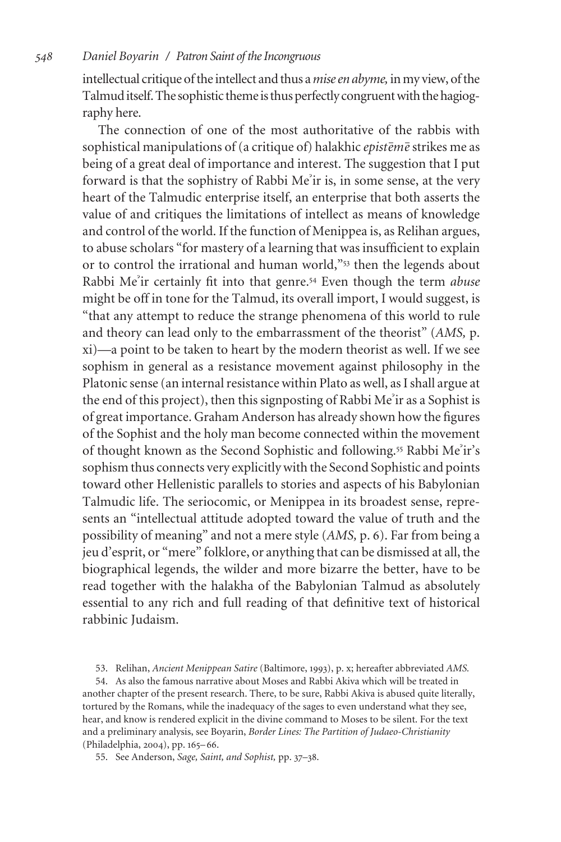intellectual critique of the intellect and thus a*mise en abyme,* in my view, of the Talmud itself. The sophistic theme is thus perfectly congruent with the hagiography here.

The connection of one of the most authoritative of the rabbis with sophistical manipulations of (a critique of) halakhic *episteme*strikes me as being of a great deal of importance and interest. The suggestion that I put forward is that the sophistry of Rabbi Me'ir is, in some sense, at the very heart of the Talmudic enterprise itself, an enterprise that both asserts the value of and critiques the limitations of intellect as means of knowledge and control of the world. If the function of Menippea is, as Relihan argues, to abuse scholars "for mastery of a learning that was insufficient to explain or to control the irrational and human world,"<sup>53</sup> then the legends about Rabbi Me'ir certainly fit into that genre.<sup>54</sup> Even though the term *abuse* might be off in tone for the Talmud, its overall import, I would suggest, is "that any attempt to reduce the strange phenomena of this world to rule and theory can lead only to the embarrassment of the theorist" (*AMS,* p. xi)—a point to be taken to heart by the modern theorist as well. If we see sophism in general as a resistance movement against philosophy in the Platonic sense (an internal resistance within Plato as well, as I shall argue at the end of this project), then this signposting of Rabbi Me'ir as a Sophist is of great importance. Graham Anderson has already shown how the figures of the Sophist and the holy man become connected within the movement of thought known as the Second Sophistic and following.<sup>55</sup> Rabbi Me<sup>2</sup>ir's sophism thus connects very explicitly with the Second Sophistic and points toward other Hellenistic parallels to stories and aspects of his Babylonian Talmudic life. The seriocomic, or Menippea in its broadest sense, represents an "intellectual attitude adopted toward the value of truth and the possibility of meaning" and not a mere style (*AMS,* p. 6). Far from being a jeu d'esprit, or "mere" folklore, or anything that can be dismissed at all, the biographical legends, the wilder and more bizarre the better, have to be read together with the halakha of the Babylonian Talmud as absolutely essential to any rich and full reading of that definitive text of historical rabbinic Judaism.

53. Relihan, *Ancient Menippean Satire* (Baltimore, 1993), p. x; hereafter abbreviated *AMS.*

54. As also the famous narrative about Moses and Rabbi Akiva which will be treated in another chapter of the present research. There, to be sure, Rabbi Akiva is abused quite literally, tortured by the Romans, while the inadequacy of the sages to even understand what they see, hear, and know is rendered explicit in the divine command to Moses to be silent. For the text and a preliminary analysis, see Boyarin, *Border Lines: The Partition of Judaeo-Christianity* (Philadelphia, 2004), pp. 165–66.

55. See Anderson, *Sage, Saint, and Sophist,* pp. 37–38.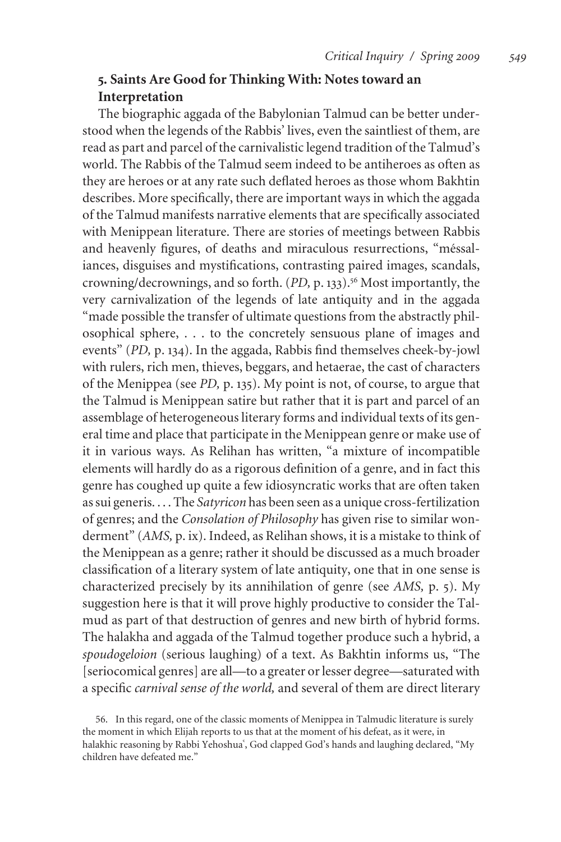## **5. Saints Are Good for Thinking With: Notes toward an Interpretation**

The biographic aggada of the Babylonian Talmud can be better understood when the legends of the Rabbis' lives, even the saintliest of them, are read as part and parcel of the carnivalistic legend tradition of the Talmud's world. The Rabbis of the Talmud seem indeed to be antiheroes as often as they are heroes or at any rate such deflated heroes as those whom Bakhtin describes. More specifically, there are important ways in which the aggada of the Talmud manifests narrative elements that are specifically associated with Menippean literature. There are stories of meetings between Rabbis and heavenly figures, of deaths and miraculous resurrections, "méssaliances, disguises and mystifications, contrasting paired images, scandals, crowning/decrownings, and so forth. (*PD,* p. 133).<sup>56</sup> Most importantly, the very carnivalization of the legends of late antiquity and in the aggada "made possible the transfer of ultimate questions from the abstractly philosophical sphere, . . . to the concretely sensuous plane of images and events" (*PD,* p. 134). In the aggada, Rabbis find themselves cheek-by-jowl with rulers, rich men, thieves, beggars, and hetaerae, the cast of characters of the Menippea (see *PD,* p. 135). My point is not, of course, to argue that the Talmud is Menippean satire but rather that it is part and parcel of an assemblage of heterogeneous literary forms and individual texts of its general time and place that participate in the Menippean genre or make use of it in various ways. As Relihan has written, "a mixture of incompatible elements will hardly do as a rigorous definition of a genre, and in fact this genre has coughed up quite a few idiosyncratic works that are often taken as sui generis. . . . The *Satyricon* has been seen as a unique cross-fertilization of genres; and the *Consolation of Philosophy* has given rise to similar wonderment" (*AMS,* p. ix). Indeed, as Relihan shows, it is a mistake to think of the Menippean as a genre; rather it should be discussed as a much broader classification of a literary system of late antiquity, one that in one sense is characterized precisely by its annihilation of genre (see *AMS,* p. 5). My suggestion here is that it will prove highly productive to consider the Talmud as part of that destruction of genres and new birth of hybrid forms. The halakha and aggada of the Talmud together produce such a hybrid, a *spoudogeloion* (serious laughing) of a text. As Bakhtin informs us, "The [seriocomical genres] are all—to a greater or lesser degree—saturated with a specific *carnival sense of the world,* and several of them are direct literary

56. In this regard, one of the classic moments of Menippea in Talmudic literature is surely the moment in which Elijah reports to us that at the moment of his defeat, as it were, in halakhic reasoning by Rabbi Yehoshuaʿ, God clapped God's hands and laughing declared, "My children have defeated me."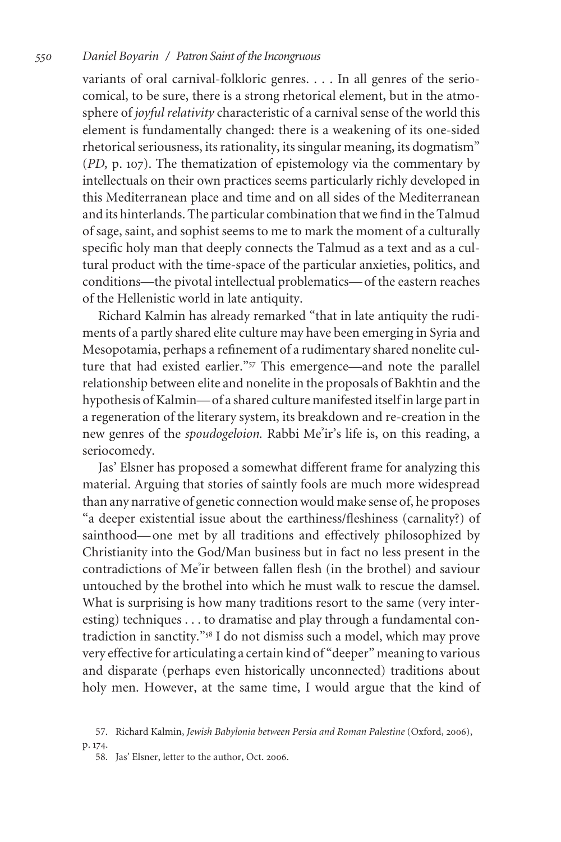variants of oral carnival-folkloric genres. . . . In all genres of the seriocomical, to be sure, there is a strong rhetorical element, but in the atmosphere of *joyful relativity* characteristic of a carnival sense of the world this element is fundamentally changed: there is a weakening of its one-sided rhetorical seriousness, its rationality, its singular meaning, its dogmatism" (*PD,* p. 107). The thematization of epistemology via the commentary by intellectuals on their own practices seems particularly richly developed in this Mediterranean place and time and on all sides of the Mediterranean and its hinterlands. The particular combination that we find in the Talmud of sage, saint, and sophist seems to me to mark the moment of a culturally specific holy man that deeply connects the Talmud as a text and as a cultural product with the time-space of the particular anxieties, politics, and conditions—the pivotal intellectual problematics— of the eastern reaches of the Hellenistic world in late antiquity.

Richard Kalmin has already remarked "that in late antiquity the rudiments of a partly shared elite culture may have been emerging in Syria and Mesopotamia, perhaps a refinement of a rudimentary shared nonelite culture that had existed earlier."<sup>57</sup> This emergence—and note the parallel relationship between elite and nonelite in the proposals of Bakhtin and the hypothesis of Kalmin— of a shared culture manifested itself in large part in a regeneration of the literary system, its breakdown and re-creation in the new genres of the *spoudogeloion*. Rabbi Me'ir's life is, on this reading, a seriocomedy.

Jas' Elsner has proposed a somewhat different frame for analyzing this material. Arguing that stories of saintly fools are much more widespread than any narrative of genetic connection would make sense of, he proposes "a deeper existential issue about the earthiness/fleshiness (carnality?) of sainthood— one met by all traditions and effectively philosophized by Christianity into the God/Man business but in fact no less present in the contradictions of Me<sup>2</sup>ir between fallen flesh (in the brothel) and saviour untouched by the brothel into which he must walk to rescue the damsel. What is surprising is how many traditions resort to the same (very interesting) techniques . . . to dramatise and play through a fundamental contradiction in sanctity."<sup>58</sup> I do not dismiss such a model, which may prove very effective for articulating a certain kind of "deeper" meaning to various and disparate (perhaps even historically unconnected) traditions about holy men. However, at the same time, I would argue that the kind of

<sup>57.</sup> Richard Kalmin, *Jewish Babylonia between Persia and Roman Palestine* (Oxford, 2006), p. 174.

<sup>58.</sup> Jas' Elsner, letter to the author, Oct. 2006.